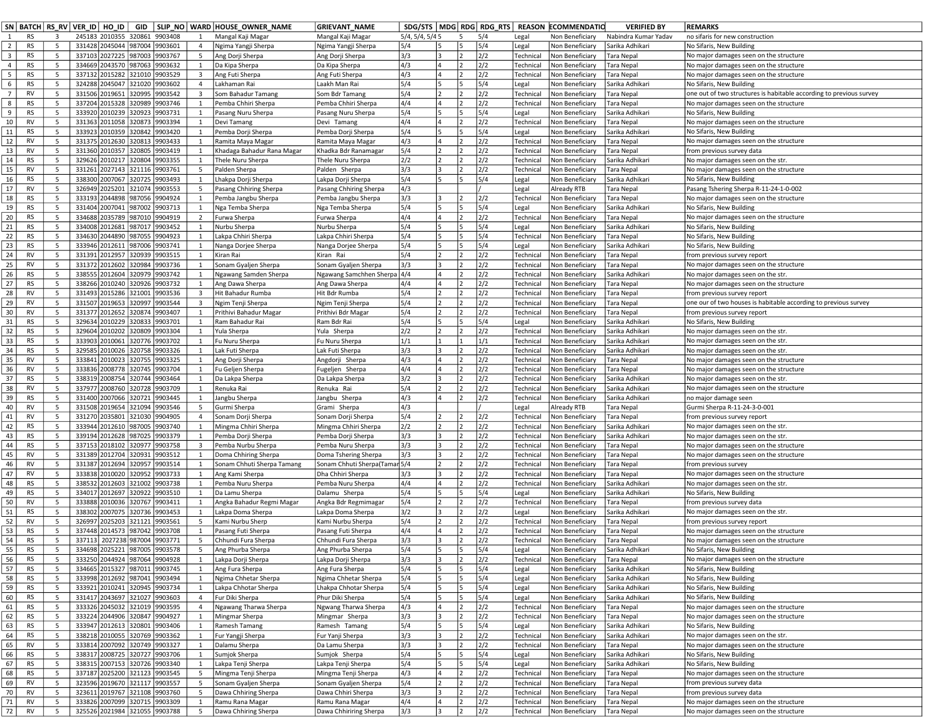|                         | SN   BATCH   RS_RV   VER_ID   HO_ID |              |                  |                                  | GID              |                               |                                  | SLIP_NO   WARD   HOUSE_OWNER_NAME              | <b>GRIEVANT_NAME</b>                         |                 |     |    |            |                        | SDG/STS   MDG   RDG   RDG _ RTS   REASON   ECOMMENDATIO | <b>VERIFIED BY</b>                 | <b>REMARKS</b>                                                                                 |
|-------------------------|-------------------------------------|--------------|------------------|----------------------------------|------------------|-------------------------------|----------------------------------|------------------------------------------------|----------------------------------------------|-----------------|-----|----|------------|------------------------|---------------------------------------------------------|------------------------------------|------------------------------------------------------------------------------------------------|
| $\mathbf{1}$            | <b>RS</b>                           | $\mathbf{3}$ |                  | 245183 2010355 320861 9903408    |                  |                               | 1                                | Mangal Kaji Magar                              | Mangal Kaji Magar                            | 5/4, 5/4, 5/4 5 |     | 5  | 5/4        | Legal                  | Non Beneficiary                                         | Nabindra Kumar Yadav               | no sifaris for new construction                                                                |
| $\overline{2}$          | <b>RS</b>                           | 5            |                  | 331428 2045044 987004 9903601    |                  |                               | $\overline{4}$                   | Ngima Yangji Sherpa                            | Ngima Yangji Sherpa                          | 5/4             | 15  | 15 | 5/4        | Legal                  | Non Beneficiary                                         | Sarika Adhikari                    | No Sifaris, New Building                                                                       |
| $\overline{\mathbf{3}}$ | <b>RS</b>                           | 5            |                  | 337103 2027225                   | 987003           | 9903767                       | $5^{\circ}$                      | Ang Dorji Sherpa                               | Ang Dorji Sherpa                             | 3/3             |     |    | 2/2        | Technical              | Non Beneficiary                                         | Tara Nepal                         | No major damages seen on the structure                                                         |
| $\overline{4}$          | <b>RS</b>                           | 5            | 334669           | 2043570                          | 987063           | 9903632                       | $\mathbf{1}$                     | Da Kipa Sherpa                                 | Da Kipa Sherpa                               | 4/3             |     |    | 2/2        | Technical              | Non Beneficiary                                         | Tara Nepal                         | No major damages seen on the structure                                                         |
| 5<br>6                  | <b>RS</b><br><b>RS</b>              | 5<br>5       |                  | 337132 2015282<br>324288 2045047 | 321010<br>321020 | 9903529<br>9903602            | $\overline{3}$<br>$\overline{4}$ | Ang Futi Sherpa<br>Lakhaman Rai                | Ang Futi Sherpa<br>Laakh Man Rai             | 4/3<br>5/4      | 15  |    | 2/2<br>5/4 | Technical              | Non Beneficiary<br>Non Beneficiary                      | Tara Nepal<br>Sarika Adhikari      | No major damages seen on the structure<br>No Sifaris, New Building                             |
| $\overline{7}$          | <b>RV</b>                           | 5            | 331506           | 2019651                          | 20995            | 9903542                       | $\overline{\mathbf{3}}$          | Som Bahadur Tamang                             | Som Bdr Tamang                               | 5/4             |     |    | 2/2        | Legal<br>Technical     | Non Beneficiary                                         | Tara Nepal                         | one out of two structures is habitable according to previous survey                            |
| 8                       | RS                                  | 5            |                  | 337204 2015328                   | 320989           | 9903746                       | 1                                | Pemba Chhiri Sherpa                            | Pemba Chhiri Sherpa                          | 4/4             |     |    | 2/2        | Technical              | Non Beneficiary                                         | Tara Nepal                         | No major damages seen on the structure                                                         |
| 9                       | <b>RS</b>                           | 5            |                  | 333920 2010239                   | 320923           | 9903731                       | 1                                | Pasang Nuru Sherpa                             | Pasang Nuru Sherpa                           | 5/4             |     |    | 5/4        | Legal                  | Non Beneficiary                                         | Sarika Adhikari                    | No Sifaris, New Building                                                                       |
| 10                      | <b>RV</b>                           | 5            | 331363           | 2011058                          | 320873           | 9903394                       | 1                                | Devi Tamang                                    | Devi Tamang                                  | 4/4             |     |    | 2/2        | Technical              | Non Beneficiary                                         | Tara Nepal                         | No major damages seen on the structure                                                         |
| 11                      | RS                                  | 5            | 333923           | 2010359                          | 320842           | 9903420                       | 1                                | Pemba Dorji Sherpa                             | Pemba Dorji Sherpa                           | 5/4             |     |    | 5/4        | Legal                  | Non Beneficiary                                         | Sarika Adhikari                    | No Sifaris, New Building                                                                       |
| 12                      | <b>RV</b>                           | 5            | 331375           | 2012630                          | 320813           | 9903433                       | 1                                | Ramita Maya Magar                              | Ramita Maya Magar                            | 4/3             |     |    | 2/2        | Technical              | Non Beneficiary                                         | Tara Nepal                         | No major damages seen on the structure                                                         |
| 13                      | <b>RV</b>                           | 5            | 331360           | 2010357                          | 320805           | 9903419                       |                                  | Khadaga Bahadur Rana Magar                     | Khadka Bdr Ranamagar                         | 5/4             |     |    | 2/2        | Technical              | Non Beneficiary                                         | Tara Nepal                         | from previous survey data                                                                      |
| 14                      | <b>RS</b>                           | 5            | 329626           | 2010217                          | 320804           | 9903355                       | 1                                | Thele Nuru Sherpa                              | Thele Nuru Sherpa                            | 2/2             |     |    | 2/2        | Technical              | Non Beneficiary                                         | Sarika Adhikari                    | No major damages seen on the str.                                                              |
| 15                      | <b>RV</b><br><b>RS</b>              | 5<br>5       | 331261           | 2027143                          | 321116<br>320725 | 9903761                       | 5                                | Palden Sherpa                                  | Palden Sherpa                                | 3/3<br>5/4      |     |    | 2/2<br>5/4 | Technical              | Non Beneficiary                                         | Tara Nepal                         | No major damages seen on the structure                                                         |
| 16<br>17                | <b>RV</b>                           | 5            | 338300<br>326949 | 2007067<br>2025201               | 321074           | 9903493<br>9903553            | 1<br>5                           | Lhakpa Dorji Sherpa<br>Pasang Chhiring Sherpa  | Lakpa Dorji Sherpa<br>Pasang Chhiring Sherpa | 4/3             |     |    |            | Legal<br>Legal         | Non Beneficiary<br>Already RTB                          | Sarika Adhikari<br>Tara Nepal      | No Sifaris, New Building<br>Pasang Tshering Sherpa R-11-24-1-0-002                             |
| 18                      | <b>RS</b>                           | 5            | 333193           | 2044898                          | 987056           | 9904924                       | $\mathbf{1}$                     | Pemba Jangbu Sherpa                            | Pemba Jangbu Sherpa                          | 3/3             |     |    | 2/2        | Technical              | Non Beneficiary                                         | Tara Nepal                         | No major damages seen on the structure                                                         |
| 19                      | <b>RS</b>                           | 5            |                  | 331404 2007041                   | 987002           | 9903713                       | 1                                | Nga Temba Sherpa                               | Nga Temba Sherpa                             | 5/4             |     |    | 5/4        | Legal                  | Non Beneficiary                                         | Sarika Adhikari                    | No Sifaris, New Building                                                                       |
| 20                      | RS                                  | 5            | 334688           | 2035789                          | 987010           | 9904919                       | $\overline{2}$                   | Furwa Sherpa                                   | Furwa Sherpa                                 | 4/4             |     |    | 2/2        | Technical              | Non Beneficiary                                         | Tara Nepal                         | No major damages seen on the structure                                                         |
| 21                      | <b>RS</b>                           | 5            | 334008           | 2012681                          | 987017           | 9903452                       | 1                                | Nurbu Sherpa                                   | Nurbu Sherpa                                 | 5/4             |     |    | 5/4        | Legal                  | Non Beneficiary                                         | Sarika Adhikari                    | No Sifaris, New Building                                                                       |
| 22                      | <b>RS</b>                           | 5            | 334630           | 2044890                          | 987055           | 9904923                       | 1                                | Lakpa Chhiri Sherpa                            | Lakpa Chhiri Sherpa                          | 5/4             |     |    | 5/4        | Technical              | Non Beneficiary                                         | Tara Nepal                         | No Sifaris, New Building                                                                       |
| 23                      | <b>RS</b>                           | 5            |                  | 333946 2012611                   | 987006           | 9903741                       | 1                                | Nanga Dorjee Sherpa                            | Nanga Dorjee Sherpa                          | 5/4             |     |    | 5/4        | Legal                  | Non Beneficiary                                         | Sarika Adhikari                    | No Sifaris, New Building                                                                       |
| 24                      | <b>RV</b>                           | 5            |                  | 331391 2012957                   | 320939           | 9903515                       | 1                                | Kiran Rai                                      | Kiran Rai                                    | 5/4             |     |    | 2/2        | Technical              | Non Beneficiary                                         | Fara Nepal                         | from previous survey report                                                                    |
| 25                      | <b>RV</b>                           | 5            |                  | 331372 2012602                   | 320984           | 9903736                       | 1                                | Sonam Gyaljen Sherpa                           | Sonam Gyaljen Sherpa                         | 3/3             |     |    | 2/2        | Technical              | Non Beneficiary                                         | Tara Nepal                         | No major damages seen on the structure                                                         |
| 26                      | <b>RS</b>                           | 5            | 338555           | 2012604                          | 320979           | 9903742                       | 1                                | Ngawang Samden Sherpa                          | Ngawang Samchhen Sherpa                      | 4/4             |     |    | 2/2        | Technical              | Non Beneficiary                                         | Sarika Adhikari                    | No major damages seen on the str.                                                              |
| 27<br>28                | <b>RS</b><br><b>RV</b>              | 5<br>5       |                  | 338266 2010240<br>331493 2015286 | 320926<br>321001 | 9903732<br>9903536            | 1<br>$\overline{3}$              | Ang Dawa Sherpa<br>Hit Bahadur Rumba           | Ang Dawa Sherpa                              | 4/4<br>5/4      |     |    | 2/2<br>2/2 | Technical              | Non Beneficiary<br>Non Beneficiary                      | Tara Nepal                         | No major damages seen on the structure                                                         |
| 29                      | <b>RV</b>                           | 5            | 331507           | 2019653                          | 20997            | 9903544                       | $\overline{\mathbf{3}}$          | Ngim Tenji Sherpa                              | Hit Bdr Rumba<br>Ngim Tenji Sherpa           | 5/4             |     |    | 2/2        | Technical<br>Technical | Non Beneficiary                                         | Tara Nepal<br>Tara Nepal           | from previous survey report<br>one our of two houses is habitable according to previous survey |
| 30                      | RV                                  | 5            |                  | 331377 2012652                   | 320874           | 9903407                       | 1                                | Prithivi Bahadur Magar                         | Prithivi Bdr Magar                           | 5/4             |     |    | 2/2        | Technical              | Non Beneficiary                                         | Tara Nepal                         | from previous survey report                                                                    |
| 31                      | <b>RS</b>                           | 5            | 329634           | 2010229                          | 320833           | 9903701                       | 1                                | Ram Bahadur Rai                                | Ram Bdr Rai                                  | 5/4             |     |    | 5/4        | Legal                  | Non Beneficiary                                         | Sarika Adhikari                    | No Sifaris, New Building                                                                       |
| 32                      | RS                                  | 5            | 329604           | 2010202                          | 20809            | 9903304                       | $\mathbf{1}$                     | Yula Sherpa                                    | Yula Sherpa                                  | 2/2             |     |    | 2/2        | Technical              | Non Beneficiary                                         | Sarika Adhikari                    | No major damages seen on the str.                                                              |
| 33                      | <b>RS</b>                           | 5            |                  | 333903 2010061                   | 320776           | 9903702                       | 1                                | Fu Nuru Sherpa                                 | Fu Nuru Sherpa                               | 1/1             |     |    | 1/1        | Technical              | Non Beneficiary                                         | Sarika Adhikari                    | No major damages seen on the str.                                                              |
| 34                      | <b>RS</b>                           | 5            | 329585           | 2010026                          | 320758           | 9903326                       | $\overline{1}$                   | Lak Futi Sherpa                                | Lak Futi Sherpa                              | 3/3             |     |    | 2/2        | Technical              | Non Beneficiary                                         | Sarika Adhikari                    | No major damages seen on the str.                                                              |
| 35                      | <b>RV</b>                           | 5            | 333841           | 2010023                          | 320755           | 9903325                       | 1                                | Ang Dorji Sherpa                               | Angdorji Sherpa                              | 4/3             |     |    | 2/2        | Technical              | Non Beneficiary                                         | Tara Nepal                         | No major damages seen on the structure                                                         |
| 36                      | <b>RV</b>                           | 5            | 333836           | 2008778                          | 320745           | 9903704                       | 1                                | Fu Geljen Sherpa                               | Fugeljen Sherpa                              | 4/4             |     |    | 2/2        | Technical              | Non Beneficiary                                         | Tara Nepal                         | No major damages seen on the structure                                                         |
| 37                      | <b>RS</b>                           | 5            |                  | 338319 2008754                   |                  | 320744 9903464                | 1                                | Da Lakpa Sherpa                                | Da Lakpa Sherpa                              | 3/2             |     |    | 2/2        | Technical              | Non Beneficiary                                         | Sarika Adhikari                    | No major damages seen on the str.                                                              |
| 38<br>39                | <b>RV</b><br><b>RS</b>              | 5<br>5       | 337977<br>331400 | 2008760<br>2007066               | 320728<br>320721 | 9903709<br>9903445            | $\mathbf{1}$<br>1                | Renuka Rai<br>Jangbu Sherpa                    | Renuka Rai<br>Jangbu Sherpa                  | 5/4<br>4/3      |     |    | 2/2<br>2/2 | Technical<br>Technical | Non Beneficiary<br>Non Beneficiary                      | Sarika Adhikari<br>Sarika Adhikari | No major damages seen on the structure<br>no major damage seen                                 |
| 40                      | RV                                  | 5            |                  | 331508 2019654                   | 321094           | 9903546                       | 5                                | Gurmi Sherpa                                   | Grami Sherpa                                 | 4/3             |     |    |            | Legal                  | Already RTB                                             | Tara Nepal                         | Gurmi Sherpa R-11-24-3-0-001                                                                   |
| 41                      | <b>RV</b>                           | 5            |                  | 331270 2035801                   | 321030           | 9904905                       | $\overline{4}$                   | Sonam Dorji Sherpa                             | Sonam Dorji Sherpa                           | 5/4             |     |    | 2/2        | Technical              | Non Beneficiar                                          | Tara Nepal                         | from previous survey report                                                                    |
| 42                      | <b>RS</b>                           | 5            |                  | 333944 2012610                   | 987005           | 9903740                       | 1                                | Mingma Chhiri Sherpa                           | Mingma Chhiri Sherpa                         | 2/2             |     |    | 2/2        | Technical              | Non Beneficiary                                         | Sarika Adhikari                    | No major damages seen on the str.                                                              |
| 43                      | <b>RS</b>                           | 5            | 339194           | 2012628                          | 987025           | 9903379                       | 1                                | Pemba Dorji Sherpa                             | Pemba Dorji Sherpa                           | 3/3             |     |    | 2/2        | Technical              | Non Beneficiary                                         | Sarika Adhikari                    | No major damages seen on the str.                                                              |
| 44                      | <b>RS</b>                           | 5            |                  | 337153 2018102                   | 320977           | 9903758                       | $\overline{3}$                   | Pemba Nurbu Sherpa                             | Pemba Nuru Sherpa                            | 3/3             |     |    | 2/2        | Technical              | Non Beneficiary                                         | Tara Nepal                         | No major damages seen on the structure                                                         |
| 45                      | <b>RV</b>                           | 5            | 331389           | 2012704                          | 320931           | 9903512                       | 1                                | Doma Chhiring Sherpa                           | Doma Tshering Sherpa                         | 3/3             | l٩  |    | 2/2        | Technical              | Non Beneficiary                                         | Tara Nepal                         | No major damages seen on the structure                                                         |
| 46                      | <b>RV</b>                           | 5            |                  | 331387 2012694                   | 320957           | 9903514                       | 1                                | Sonam Chhuti Sherpa Tamang                     | Sonam Chhuti Sherpa(Tamar 5/4                |                 |     |    | 2/2        | Technical              | Non Beneficiary                                         | Tara Nepal                         | from previous survey                                                                           |
| 47                      | <b>RV</b>                           | 5            | 333838           | 2010020                          | 320952           | 9903733                       | $\mathbf{1}$                     | Ang Kami Sherpa                                | Dha Chhiri Sherpa                            | 3/3             |     |    | 2/2        | Technical              | Non Beneficiary                                         | Tara Nepal                         | No major damages seen on the structure                                                         |
| 48                      | <b>RS</b>                           | 5            | 338532           | 2012603                          | 321002           | 9903738                       | 1                                | Pemba Nuru Sherpa                              | Pemba Nuru Sherpa                            | 4/4             |     |    | 2/2        | Technical              | Non Beneficiary                                         | Sarika Adhikari                    | No major damages seen on the str.                                                              |
| 49<br>50                | <b>RS</b><br><b>RV</b>              | 5<br>5       | 333888           | 334017 2012697<br>2010036        | 320922<br>320767 | 9903510<br>9903411            | 1<br>$\mathbf{1}$                | Da Lamu Sherpa                                 | Dalamu Sherpa                                | 5/4<br>5/4      |     |    | 5/4<br>2/2 | Legal<br>Technical     | Non Beneficiary<br>Non Beneficiary                      | Sarika Adhikari<br>Tara Nepal      | No Sifaris, New Building<br>from previous survey data                                          |
| 51                      | <b>RS</b>                           | 5            | 338302           | 2007075                          | 320736           | 9903453                       | 1                                | Angka Bahadur Regmi Magar<br>Lakpa Doma Sherpa | Angka Bdr Regmimagar<br>Lakpa Doma Sherpa    | 3/2             | l٩  |    | 2/2        | Legal                  | Non Beneficiary                                         | Sarika Adhikari                    | No major damages seen on the str.                                                              |
| 52                      | RV                                  | 5            | 326997           | 2025203                          | 321121           | 9903561                       | 5                                | Kami Nurbu Sherp                               | Kami Nurbu Sherpa                            | 5/4             |     |    | 2/2        | Technical              | Non Beneficiary                                         | Tara Nepal                         | from previous survey report                                                                    |
| 53                      | <b>RS</b>                           | 5            |                  | 337448 2014573                   | 987042           | 9903708                       | 1                                | Pasang Futi Sherpa                             | Pasang Futi Sherpa                           | 4/4             |     |    | 2/2        | Technical              | Non Beneficiary                                         | Tara Nepal                         | No major damages seen on the structure                                                         |
| 54                      | <b>RS</b>                           | 5            | 337113           | 2027238 987004                   |                  | 9903771                       | 5                                | Chhundi Fura Sherpa                            | Chhundi Fura Sherpa                          | 3/3             |     |    | 2/2        | Technical              | Non Beneficiary                                         | <b>Tara Nepal</b>                  | No major damages seen on the structure                                                         |
| 55                      | <b>RS</b>                           | 5            |                  | 334698 2025221 987005            |                  | 9903578                       | 5 <sup>1</sup>                   | Ang Phurba Sherpa                              | Ang Phurba Sherpa                            | 5/4             |     |    | 5/4        | Legal                  | Non Beneficiary                                         | Sarika Adhikari                    | No Sifaris, New Building                                                                       |
| 56                      | RS                                  | 5            |                  | 333250 2044924 987064 9904928    |                  |                               | $\mathbf{1}$                     | Lakpa Dorji Sherpa                             | Lakpa Dorji Sherpa                           | 3/3             |     |    | 2/2        | Technical              | Non Beneficiary                                         | Tara Nepal                         | No major damages seen on the structure                                                         |
| 57                      | <b>RS</b>                           | 5            |                  | 334665 2015327                   | 987011           | 9903745                       | $\mathbf{1}$                     | Ang Fura Sherpa                                | Ang Fura Sherpa                              | 5/4             |     |    | 5/4        | Legal                  | Non Beneficiary                                         | Sarika Adhikari                    | No Sifaris, New Building                                                                       |
| 58                      | RS                                  | 5            |                  | 333998 2012692                   | 987041           | 9903494                       | $\mathbf{1}$                     | Ngima Chhetar Sherpa                           | Ngima Chhetar Sherpa                         | 5/4             |     |    | 5/4        | Legal                  | Non Beneficiary                                         | Sarika Adhikari                    | No Sifaris, New Building                                                                       |
| 59                      | <b>RS</b>                           | 5            |                  | 333921 2010241                   | 320945           | 9903734                       | $\mathbf{1}$                     | Lakpa Chhotar Sherpa                           | Lhakpa Chhotar Sherpa                        | 5/4             |     |    | 5/4        | Legal                  | Non Beneficiary                                         | Sarika Adhikari                    | No Sifaris, New Building                                                                       |
| 60                      | <b>RS</b>                           | 5            |                  | 331417 2043697<br>2045032        | 321027           | 9903603                       | $\overline{4}$                   | Fur Diki Sherpa                                | Phur Diki Sherpa                             | 5/4             |     |    | 5/4        | Legal                  | Non Beneficiary                                         | Sarika Adhikari                    | No Sifaris, New Building<br>No major damages seen on the structure                             |
| 61<br>62                | RS<br><b>RS</b>                     | 5<br>5       | 333326<br>333224 | 2044906                          | 321019<br>320847 | 9903595<br>9904927            | $\overline{4}$<br>$\mathbf{1}$   | Ngawang Tharwa Sherpa<br>Mingmar Sherpa        | Ngwang Tharwa Sherpa<br>Mingmar Sherpa       | 4/3<br>3/3      |     |    | 2/2<br>2/2 | Technical<br>Technical | Non Beneficiary<br>Non Beneficiary                      | Tara Nepal<br>Tara Nepal           | No major damages seen on the structure                                                         |
| 63                      | <b>RS</b>                           | 5            | 333947           | 2012613                          | 320801           | 9903406                       | 1                                | Ramesh Tamang                                  | Ramesh Tamang                                | 5/4             |     |    | 5/4        | Legal                  | Non Beneficiary                                         | Sarika Adhikari                    | No Sifaris, New Building                                                                       |
| 64                      | RS                                  | 5            | 338218           | 2010055                          | 320769           | 9903362                       | $\mathbf{1}$                     | Fur Yangji Sherpa                              | Fur Yanji Sherpa                             | 3/3             | 13  |    | 2/2        | Technical              | Non Beneficiary                                         | Sarika Adhikari                    | No major damages seen on the str.                                                              |
| 65                      | <b>RV</b>                           | 5            |                  | 333814 2007092                   | 320749           | 9903327                       | 1                                | Dalamu Sherpa                                  | Da Lamu Sherpa                               | 3/3             |     |    | 2/2        | Technical              | Non Beneficiary                                         | Tara Nepal                         | No major damages seen on the structure                                                         |
| 66                      | <b>RS</b>                           | 5            |                  | 338317 2008725                   | 320727           | 9903706                       | 1                                | Sumjok Sherpa                                  | Sumjok Sherpa                                | 5/4             |     |    | 5/4        | Legal                  | Non Beneficiary                                         | Sarika Adhikari                    | No Sifaris, New Building                                                                       |
| 67                      | RS                                  | 5            |                  | 338315 2007153                   | 320726           | 9903340                       | $\mathbf{1}$                     | Lakpa Tenji Sherpa                             | Lakpa Tenji Sherpa                           | 5/4             | 15. |    | 5/4        | Legal                  | Non Beneficiary                                         | Sarika Adhikari                    | No Sifaris, New Building                                                                       |
| 68                      | <b>RS</b>                           | 5            |                  | 337187 2025200 321123            |                  | 9903545                       | 5                                | Mingma Tenji Sherpa                            | Mingma Tenji Sherpa                          | 4/3             |     |    | 2/2        | Technical              | Non Beneficiary                                         | Tara Nepal                         | No major damages seen on the structure                                                         |
| 69                      | <b>RV</b>                           | 5            |                  | 323596 2019670                   | 321117           | 9903557                       | 5                                | Sonam Gyaljen Sherpa                           | Sonam Gyaljen Sherpa                         | 5/4             |     |    | 2/2        | Technical              | Non Beneficiary                                         | Tara Nepal                         | from previous survey data                                                                      |
| 70                      | <b>RV</b>                           | 5            |                  | 323611 2019767                   | 321108           | 9903760                       | 5                                | Dawa Chhiring Sherpa                           | Dawa Chhiri Sherpa                           | 3/3             | I٩  |    | 2/2        | Technical              | Non Beneficiary                                         | <b>Tara Nepal</b>                  | from previous survey data                                                                      |
| 71                      | <b>RV</b>                           | 5            |                  | 333826 2007099 320715            |                  | 9903309                       | $\mathbf{1}$                     | Ramu Rana Magar                                | Ramu Rana Magar                              | 4/4             |     |    | 2/2        | Technical              | Non Beneficiary                                         | Tara Nepal                         | No major damages seen on the structure                                                         |
| 72                      | RV                                  | 5            |                  |                                  |                  | 325526 2021984 321055 9903788 | 5 <sup>5</sup>                   | Dawa Chhiring Sherpa                           | Dawa Chhiriring Sherpa                       | 3/3             |     |    | 2/2        | Technical              | Non Beneficiary                                         | <b>Tara Nepal</b>                  | No major damages seen on the structure                                                         |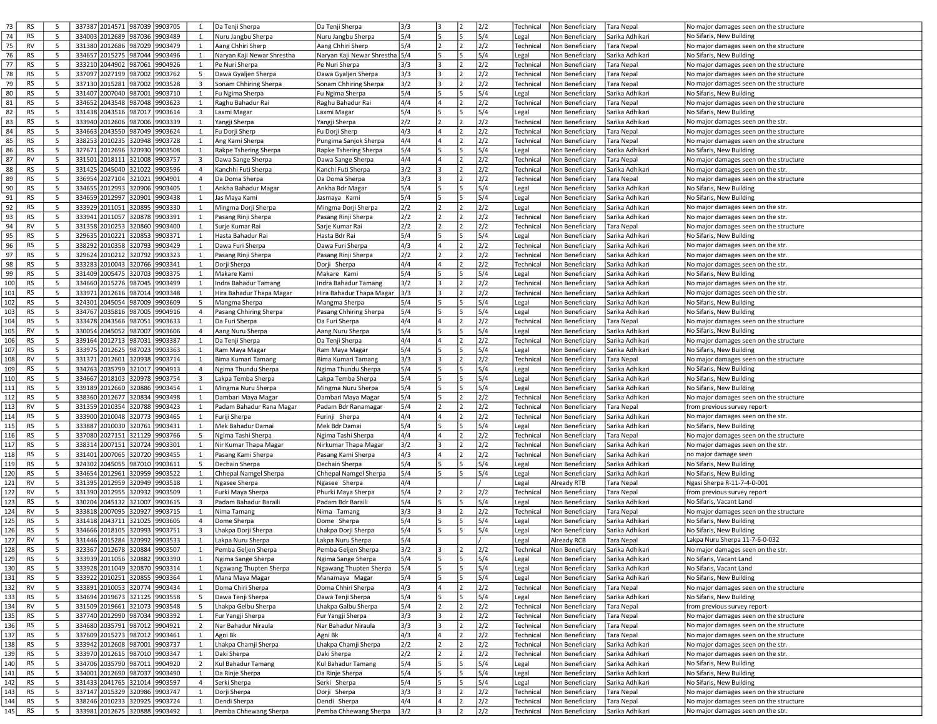| 73  | <b>RS</b> | 5  | 337387 2014571 987039         | 9903705 | 1                       | Da Tenji Sherpa            | Da Tenji Sherpa                | 3/3 | 3   |                | 2/2 | Technical | Non Beneficiary                   | <b>Tara Nepal</b> | No major damages seen on the structure |
|-----|-----------|----|-------------------------------|---------|-------------------------|----------------------------|--------------------------------|-----|-----|----------------|-----|-----------|-----------------------------------|-------------------|----------------------------------------|
|     |           |    |                               |         |                         |                            |                                |     |     |                |     |           |                                   |                   |                                        |
| 74  | <b>RS</b> | 5  | 334003 2012689<br>987036      | 9903489 | 1                       | Nuru Jangbu Sherpa         | Nuru Jangbu Sherpa             | 5/4 | 5   | 5              | 5/4 | Legal     | Non Beneficiary                   | Sarika Adhikari   | No Sifaris, New Building               |
| 75  | RV        | 5  | 331380 2012686<br>987029      | 9903479 | $\mathbf{1}$            | Aang Chhiri Sherp          | Aang Chhiri Sherp              | 5/4 | 2   | 2              | 2/2 | Technical | Non Beneficiary                   | <b>Tara Nepal</b> | No major damages seen on the structure |
| 76  | <b>RS</b> | 5  | 334657 2015275<br>987044      | 9903496 | 1                       | Naryan Kaji Newar Shrestha | Naryan Kaji Newar Shrestha 5/4 |     | 5   | 5              | 5/4 | Legal     | Non Beneficiary                   | Sarika Adhikari   | No Sifaris, New Building               |
| 77  | <b>RS</b> | 5  | 333210 2044902<br>987061      | 9904926 | $\mathbf{1}$            | Pe Nuri Sherpa             | Pe Nuri Sherpa                 | 3/3 | l 3 | $\overline{z}$ | 2/2 | Technical | Non Beneficiary                   | Tara Nepal        | No major damages seen on the structure |
|     |           |    |                               |         |                         |                            |                                |     |     |                |     |           |                                   |                   |                                        |
| 78  | <b>RS</b> | 5  | 337097 2027199<br>987002      | 9903762 | 5                       | Dawa Gyaljen Sherpa        | Dawa Gyaljen Sherpa            | 3/3 | 3   | 2              | 2/2 | Technical | Non Beneficiary                   | <b>Tara Nepal</b> | No major damages seen on the structure |
| 79  | <b>RS</b> | 5  | 337130 2015281<br>987002      | 9903528 | 3                       | Sonam Chhiring Sherpa      | Sonam Chhiring Sherpa          | 3/2 | 3   | 2              | 2/2 | Technical | Non Beneficiary                   | Tara Nepal        | No major damages seen on the structure |
| 80  | <b>RS</b> | 5  | 331407 2007040<br>987001      | 9903710 | 1                       | Fu Ngima Sherpa            | Fu Ngima Sherpa                | 5/4 | 5   | 5              | 5/4 | Legal     | Non Beneficiary                   | Sarika Adhikari   | No Sifaris, New Building               |
| 81  | <b>RS</b> | 5  | 334652 2043548<br>987048      | 9903623 | $\mathbf{1}$            | Raghu Bahadur Rai          | Raghu Bahadur Rai              | 4/4 | 4   | 12.            | 2/2 | Technical | Non Beneficiary                   | <b>Tara Nepal</b> | No major damages seen on the structure |
|     |           |    |                               |         |                         |                            |                                |     |     |                |     |           |                                   |                   |                                        |
| 82  | <b>RS</b> | 5  | 987017<br>331438 2043516      | 9903614 | 3                       | Laxmi Magar                | Laxmi Magar                    | 5/4 | 5   | 5              | 5/4 | Legal     | Non Beneficiary                   | Sarika Adhikari   | No Sifaris, New Building               |
| 83  | <b>RS</b> | 5  | 333940 2012606<br>987006      | 9903339 | 1                       | Yangji Sherpa              | Yangji Sherpa                  | 2/2 | 2   |                | 2/2 | Technical | Non Beneficiary                   | Sarika Adhikari   | No major damages seen on the str.      |
| 84  | <b>RS</b> | 5  | 334663 2043550<br>987049      | 9903624 | 1                       | Fu Dorji Sherp             | Fu Dorji Sherp                 | 4/3 | 4   | $\overline{2}$ | 2/2 | Technical | Non Beneficiary                   | <b>Tara Nepal</b> | No major damages seen on the structure |
| 85  | <b>RS</b> | 5  | 338253 2010235<br>320948      | 9903728 | 1                       | Ang Kami Sherpa            | Pungima Sanjok Sherpa          | 4/4 | 4   |                | 2/2 | Technical | Non Beneficiary                   | Tara Nepal        | No major damages seen on the structure |
|     |           |    |                               |         |                         |                            |                                |     |     |                |     |           |                                   |                   |                                        |
| 86  | <b>RS</b> | 5  | 327671 2012696<br>320930      | 9903508 | 1                       | Rakpe Tshering Sherpa      | Rapke Tshering Sherpa          | 5/4 | ls. | 5              | 5/4 | Legal     | Non Beneficiar                    | Sarika Adhikari   | No Sifaris, New Building               |
| 87  | <b>RV</b> | 5  | 331501 2018111<br>321008      | 9903757 | $\overline{\mathbf{3}}$ | Dawa Sange Sherpa          | Dawa Sange Sherpa              | 4/4 | 4   | 2              | 2/2 | Technical | Non Beneficiary                   | Tara Nepal        | No major damages seen on the structure |
| 88  | <b>RS</b> | 5  | 331425 2045040<br>321022      | 9903596 | $\overline{4}$          | Kanchhi Futi Sherpa        | Kanchi Futi Sherpa             | 3/2 | l3  |                | 2/2 | Technical | Non Beneficiary                   | Sarika Adhikari   | No major damages seen on the str.      |
| 89  | <b>RS</b> | 5  | 336954 2027104<br>321021      | 9904901 | $\overline{4}$          | Da Doma Sherpa             | Da Doma Sherpa                 | 3/3 | l 3 | 2              | 2/2 | Technical | Non Beneficiary                   | Tara Nepal        | No major damages seen on the structure |
|     |           |    |                               |         |                         |                            |                                |     |     |                |     |           |                                   |                   |                                        |
| 90  | <b>RS</b> | 5  | 334655 2012993<br>320906      | 9903405 | 1                       | Ankha Bahadur Magar        | Ankha Bdr Magar                | 5/4 | 5   | 5              | 5/4 | Legal     | Non Beneficiary                   | Sarika Adhikari   | No Sifaris, New Building               |
| 91  | <b>RS</b> | 5  | 334659 2012997<br>320901      | 9903438 | 1                       | Jas Maya Kami              | Jasmaya Kami                   | 5/4 | 5   | 5              | 5/4 | Legal     | Non Beneficiary                   | Sarika Adhikari   | No Sifaris, New Building               |
| 92  | <b>RS</b> | 5  | 333929 2011051<br>320895      | 9903330 | 1                       | Mingma Dorji Sherpa        | Mingma Dorji Sherpa            | 2/2 | 2   | 2              | 2/2 | Legal     | Non Beneficiary                   | Sarika Adhikari   | No major damages seen on the str.      |
| 93  | <b>RS</b> | 5  | 333941 2011057<br>320878      | 9903391 | 1                       | Pasang Rinji Sherpa        | Pasang Rinji Sherpa            | 2/2 | 2   | 2              | 2/2 | Technical | Non Beneficiary                   | Sarika Adhikari   | No major damages seen on the str.      |
|     |           |    |                               |         |                         |                            |                                |     |     |                |     |           |                                   |                   |                                        |
| 94  | <b>RV</b> | 5  | 320860<br>331358 2010253      | 9903400 | 1                       | Surje Kumar Rai            | Sarje Kumar Rai                | 2/2 | 2   |                | 2/2 | Technical | Non Beneficiary                   | Tara Nepal        | No major damages seen on the structure |
| 95  | <b>RS</b> | 5  | 329635 2010221<br>320853      | 9903371 | <sup>1</sup>            | Hasta Bahadur Rai          | Hasta Bdr Rai                  | 5/4 | 5   | 5              | 5/4 | Legal     | Non Beneficiary                   | Sarika Adhikari   | No Sifaris, New Building               |
| 96  | <b>RS</b> | 5  | 338292 2010358<br>320793      | 9903429 | 1                       | Dawa Furi Sherpa           | Dawa Furi Sherpa               | 4/3 | 4   | 2              | 2/2 | Technical | Non Beneficiary                   | Sarika Adhikari   | No major damages seen on the str.      |
| 97  | <b>RS</b> | 5  | 329624 2010212<br>320792      | 9903323 | 1                       | Pasang Rinji Sherpa        | Pasang Rinji Sherpa            | 2/2 | 2   | 2              | 2/2 | Technical | Non Beneficiary                   | Sarika Adhikari   | No major damages seen on the str.      |
|     |           |    |                               |         |                         |                            |                                |     |     |                |     |           |                                   |                   |                                        |
| 98  | <b>RS</b> | 5  | 333283 2010043<br>320766      | 9903341 | <sup>1</sup>            | Dorji Sherpa               | Dorji Sherpa                   | 4/4 | 4   | $\overline{2}$ | 2/2 | Technical | Non Beneficiary                   | Sarika Adhikari   | No major damages seen on the str.      |
| 99  | <b>RS</b> | 5  | 331409 2005475<br>320703      | 9903375 | 1                       | Makare Kami                | Makare Kami                    | 5/4 | 5   | 5              | 5/4 | Legal     | Non Beneficiary                   | Sarika Adhikari   | No Sifaris, New Building               |
| 100 | <b>RS</b> | 5  | 334660 2015276<br>987045      | 9903499 | $\mathbf{1}$            | Indra Bahadur Tamang       | Indra Bahadur Tamang           | 3/2 | 3   | 2              | 2/2 | Technical | Non Beneficiary                   | Sarika Adhikari   | No major damages seen on the str.      |
| 101 | <b>RS</b> | 5  | 333971 2012616<br>987014      | 9903348 | <sup>1</sup>            | Hira Bahadur Thapa Magar   | Hira Bahadur Thapa Magar       | 3/3 | l3  | 2              | 2/2 | Technical | Non Beneficiary                   | Sarika Adhikari   | No major damages seen on the str.      |
|     |           |    |                               |         |                         |                            |                                |     |     |                |     |           |                                   |                   |                                        |
| 102 | <b>RS</b> | 5  | 324301 2045054<br>987009      | 9903609 | 5                       | Mangma Sherpa              | Mangma Sherpa                  | 5/4 | 5   | 5              | 5/4 | Legal     | Non Beneficiary                   | Sarika Adhikari   | No Sifaris, New Building               |
| 103 | <b>RS</b> | 5  | 334767 2035816<br>987005      | 9904916 | $\overline{4}$          | Pasang Chhiring Sherpa     | Pasang Chhiring Sherpa         | 5/4 | 5   | 15             | 5/4 | Legal     | Non Beneficiary                   | Sarika Adhikari   | No Sifaris, New Building               |
| 104 | <b>RS</b> | 5  | 333478 2043566<br>987051      | 9903633 | $\mathbf{1}$            | Da Furi Sherpa             | Da Furi Sherpa                 | 4/4 | 4   | 2              | 2/2 | Technical | Non Beneficiary                   | <b>Tara Nepal</b> | No major damages seen on the structure |
| 105 | <b>RV</b> | 5  | 330054 2045052<br>987007      | 9903606 | 4                       | Aang Nuru Sherpa           | Aang Nuru Sherpa               | 5/4 | l5  | 5              | 5/4 | Legal     | Non Beneficiary                   | Sarika Adhikari   | No Sifaris, New Building               |
|     |           |    |                               |         |                         |                            |                                |     |     |                |     |           |                                   |                   |                                        |
| 106 | <b>RS</b> | 5  | 339164 2012713<br>987031      | 9903387 | $\mathbf{1}$            | Da Tenji Sherpa            | Da Tenji Sherpa                | 4/4 | 4   | 2              | 2/2 | Technical | Non Beneficiary                   | Sarika Adhikari   | No major damages seen on the structure |
| 107 | <b>RS</b> | 5  | 333975 2012625<br>987023      | 9903363 | 1                       | Ram Maya Magar             | Ram Maya Magar                 | 5/4 | 5   | 5              | 5/4 | Legal     | Non Beneficiary                   | Sarika Adhikari   | No Sifaris, New Building               |
| 108 | <b>RV</b> | 5  | 331371 2012601<br>320938      | 9903714 | 1                       | Bima Kumari Tamang         | Bima Kumari Tamang             | 3/3 | l3  |                | 2/2 | Technical | Non Beneficiary                   | Tara Nepal        | No major damages seen on the structure |
| 109 | <b>RS</b> | 5  | 334763 2035799<br>321017      | 9904913 | $\overline{4}$          | Ngima Thundu Sherpa        | Ngima Thundu Sherpa            | 5/4 | 5   | 5              | 5/4 | Legal     | Non Beneficiary                   | Sarika Adhikari   | No Sifaris, New Building               |
|     |           |    |                               |         |                         |                            |                                |     |     |                |     |           |                                   |                   |                                        |
| 110 | <b>RS</b> | 5  | 334667 2018103<br>320978      | 9903754 | 3                       | Lakpa Temba Sherpa         | Lakpa Temba Sherpa             | 5/4 | 5   | 5              | 5/4 | Legal     | Non Beneficiary                   | Sarika Adhikari   | No Sifaris, New Building               |
| 111 | <b>RS</b> | 5  | 339189 2012660<br>320886      | 9903454 | $\mathbf{1}$            | Mingma Nuru Sherpa         | Mingma Nuru Sherpa             | 5/4 | l5  | 5              | 5/4 | Legal     | Non Beneficiary                   | Sarika Adhikari   | No Sifaris, New Building               |
| 112 | <b>RS</b> | 5  | 338360 2012677<br>320834      | 9903498 | 1                       | Dambari Maya Magar         | Dambari Maya Magar             | 5/4 | 5   | $\overline{2}$ | 2/2 | Technical | Non Beneficiary                   | Sarika Adhikari   | No major damages seen on the structure |
| 113 | <b>RV</b> | 5  | 331359 2010354<br>320788      | 9903423 | 1                       | Padam Bahadur Rana Magar   | Padam Bdr Ranamagar            | 5/4 | 2   |                | 2/2 | Technical | Non Beneficiary                   | <b>Tara Nepal</b> | from previous survey report            |
|     |           |    |                               |         |                         |                            |                                |     |     |                |     |           |                                   |                   |                                        |
| 114 | <b>RS</b> | 5  | 333900 2010048<br>320773      | 9903465 | 1                       | Furiji Sherpa              | Furinji Sherpa                 | 4/4 | 14  | $\overline{2}$ | 2/2 | Technical | Non Beneficiary                   | Sarika Adhikari   | No major damages seen on the str.      |
| 115 | <b>RS</b> | 5  | 333887 2010030<br>320761      | 9903431 | <sup>1</sup>            | Mek Bahadur Damai          | Mek Bdr Damai                  | 5/4 | 5   | 5              | 5/4 | Legal     | Non Beneficiary                   | Sarika Adhikari   | No Sifaris, New Building               |
| 116 | <b>RS</b> | 5  | 337080 2027151<br>321129      | 9903766 | 5                       | Ngima Tashi Sherpa         | Ngima Tashi Sherpa             | 4/4 | 4   |                | 2/2 | Technical | Non Beneficiary                   | <b>Tara Nepal</b> | No major damages seen on the structure |
| 117 | <b>RS</b> | 5  | 338314 2007151<br>320724      | 9903301 | $\mathbf{1}$            | Nir Kumar Thapa Magar      | Nirkumar Thapa Magar           | 3/2 | 3   | 2              | 2/2 | Technical | Non Beneficiar                    | Sarika Adhikari   | No major damages seen on the str.      |
|     |           |    |                               |         |                         |                            |                                |     |     |                |     |           |                                   |                   |                                        |
| 118 | <b>RS</b> | 5  | 331401 2007065<br>320720      | 9903455 | 1                       | Pasang Kami Sherpa         | Pasang Kami Sherpa             | 4/3 | 4   | 2              | 2/2 | Technical | Non Beneficiary                   | Sarika Adhikari   | no major damage seen                   |
| 119 | <b>RS</b> | 5  | 324302 2045055<br>987010      | 9903611 | 5                       | Dechain Sherpa             | Dechain Sherpa                 | 5/4 | 5   | 5              | 5/4 | Legal     | Non Beneficiary                   | Sarika Adhikari   | No Sifaris, New Building               |
| 120 | <b>RS</b> | 5  | 334654 2012961<br>320959      | 9903522 | 1                       | Chhepal Namgel Sherpa      | Chhepal Namgel Sherpa          | 5/4 | 5   | 5              | 5/4 | Legal     | Non Beneficiary                   | Sarika Adhikari   | No Sifaris, New Building               |
| 121 | <b>RV</b> | 5  | 331395 2012959<br>320949      | 9903518 | 1                       | Ngasee Sherpa              | Ngasee Sherpa                  | 4/4 |     |                |     | Legal     | Already RTB                       | <b>Tara Nepal</b> | Ngasi Sherpa R-11-7-4-0-001            |
|     |           |    |                               |         |                         |                            |                                |     |     |                |     |           |                                   |                   |                                        |
| 122 | <b>RV</b> | 5  | 331390 2012955<br>320932      | 9903509 | 1                       | Furki Maya Sherpa          | Phurki Maya Sherpa             | 5/4 | 2   |                | 2/2 | Technical | Non Beneficiary                   | <b>Tara Nepal</b> | from previous survey report            |
| 123 | <b>RS</b> | 5  | 330204 2045132<br>321007      | 9903615 | $\overline{3}$          | Padam Bahadur Baraili      | Padam Bdr Baraili              | 5/4 | 5   | 5              | 5/4 | Legal     | Non Beneficiary                   | Sarika Adhikari   | No Sifaris, Vacant Land                |
| 124 | <b>RV</b> | 5  | 333818 2007095<br>320927      | 9903715 | 1                       | Nima Tamang                | Nima Tamang                    | 3/3 | 3   | 2              | 2/2 | Technical | Non Beneficiary                   | <b>Tara Nepal</b> | No major damages seen on the structure |
| 125 | <b>RS</b> | 5  | 331418 2043711<br>321025      | 9903605 | $\overline{4}$          | Dome Sherpa                | Dome Sherpa                    | 5/4 | 5   | 5              | 5/4 | Legal     | Non Beneficiary                   | Sarika Adhikari   | No Sifaris, New Building               |
|     |           |    |                               |         |                         |                            |                                |     |     |                |     |           |                                   |                   |                                        |
| 126 | <b>RS</b> | 5  | 334666 2018105<br>320993      | 9903751 | $\overline{\mathbf{3}}$ | Lhakpa Dorji Sherpa        | Lhakpa Dorji Sherpa            | 5/4 | 5   | 5              | 5/4 | Legal     | Non Beneficiary                   | Sarika Adhikari   | No Sifaris, New Building               |
| 127 | <b>RV</b> | 5  | 331446 2015284<br>320992      | 9903533 | 1                       | Lakpa Nuru Sherpa          | Lakpa Nuru Sherpa              | 5/4 |     |                |     | Legal     | Already RCB                       | <b>Tara Nepal</b> | Lakpa Nuru Sherpa 11-7-6-0-032         |
| 128 | <b>RS</b> | .5 | 323367 2012678 320884         | 9903507 | 1                       | Pemba Gelien Sherpa        | Pemba Gelien Sherpa            | 3/2 |     | 12             | 2/2 | Technical | Non Beneficiary   Sarika Adhikari |                   | No maior damages seen on the str.      |
| 129 | <b>RS</b> | 5  | 333939 2011056 320882 9903390 |         | 1                       | Ngima Sange Sherpa         | Ngima Sange Sherpa             | 5/4 | 5   | 5              | 5/4 | Legal     | Non Beneficiary                   | Sarika Adhikari   | No Sifaris, Vacant Land                |
|     |           |    |                               |         |                         |                            |                                |     |     |                |     |           |                                   |                   |                                        |
| 130 | <b>RS</b> | 5  | 333928 2011049<br>320870      | 9903314 | $\mathbf{1}$            | Ngawang Thupten Sherpa     | Ngawang Thupten Sherpa         | 5/4 | l5  | 5              | 5/4 | Legal     | Non Beneficiary                   | Sarika Adhikari   | No Sifaris, Vacant Land                |
| 131 | RS        | 5  | 333922 2010251<br>320855      | 9903364 | 1                       | Mana Maya Magar            | Manamaya Magar                 | 5/4 | 5   | 5              | 5/4 | Legal     | Non Beneficiary                   | Sarika Adhikari   | No Sifaris, New Building               |
| 132 | RV        | 5  | 333891 2010053<br>320774      | 9903434 | 1                       | Doma Chiri Sherpa          | Doma Chhiri Sherpa             | 4/3 | 4   | 2              | 2/2 | Technical | Non Beneficiary                   | Tara Nepal        | No major damages seen on the structure |
| 133 | <b>RS</b> | 5  | 334694 2019673<br>321125      | 9903558 | 5                       | Dawa Tenji Sherpa          | Dawa Tenji Sherpa              | 5/4 | l5  | 5              | 5/4 | Legal     | Non Beneficiary                   | Sarika Adhikari   | No Sifaris, New Building               |
|     |           |    |                               |         |                         |                            |                                |     |     |                |     |           |                                   |                   |                                        |
| 134 | RV        | 5  | 331509 2019661<br>321073      | 9903548 | 5                       | Lhakpa Gelbu Sherpa        | Lhakpa Galbu Sherpa            | 5/4 | 2   | 2              | 2/2 | Technical | Non Beneficiary                   | <b>Tara Nepal</b> | from previous survey report            |
| 135 | <b>RS</b> | 5  | 337740 2012990 987034         | 9903392 | 1                       | Fur Yangji Sherpa          | Fur Yangji Sherpa              | 3/3 | 3   | 2              | 2/2 | Technical | Non Beneficiary                   | Tara Nepal        | No major damages seen on the structure |
| 136 | <b>RS</b> | 5  | 334680 2035791<br>987012      | 9904921 | $2^{\circ}$             | Nar Bahadur Niraula        | Nar Bahadur Niraula            | 3/3 | l 3 | $\overline{2}$ | 2/2 | Technical | Non Beneficiary                   | <b>Tara Nepal</b> | No major damages seen on the structure |
| 137 | RS        | 5  | 337609 2015273<br>987012      | 9903461 | 1                       | Agni Bk                    | Agni Bk                        | 4/3 | 4   | 2              | 2/2 | Technical | Non Beneficiary                   | <b>Tara Nepal</b> | No major damages seen on the structure |
|     |           |    |                               |         |                         |                            |                                |     |     |                |     |           |                                   |                   |                                        |
| 138 | <b>RS</b> | 5  | 333942 2012608<br>987001      | 9903737 | $\mathbf{1}$            | Lhakpa Chamji Sherpa       | Lhakpa Chamji Sherpa           | 2/2 | 12  |                | 2/2 | Technical | Non Beneficiary                   | Sarika Adhikari   | No major damages seen on the str.      |
| 139 | <b>RS</b> | 5  | 333970 2012615<br>987010      | 9903347 | 1                       | Daki Sherpa                | Daki Sherpa                    | 2/2 | 2   | 2              | 2/2 | Technical | Non Beneficiary                   | Sarika Adhikari   | No major damages seen on the str.      |
| 140 | RS        | 5  | 334706 2035790<br>987011      | 9904920 | 2                       | Kul Bahadur Tamang         | Kul Bahadur Tamang             | 5/4 | 5   | 15             | 5/4 | Legal     | Non Beneficiary                   | Sarika Adhikari   | No Sifaris, New Building               |
| 141 | <b>RS</b> | 5  | 334001 2012690<br>987037      | 9903490 | $\mathbf{1}$            | Da Rinje Sherpa            | Da Rinje Sherpa                | 5/4 | 5   | 5              | 5/4 | Legal     | Non Beneficiary                   | Sarika Adhikari   | No Sifaris, New Building               |
|     |           |    |                               |         |                         |                            |                                |     | 5   | 5              |     |           |                                   |                   |                                        |
| 142 | <b>RS</b> | 5  | 331433 2041765 321014         | 9903597 | $\overline{4}$          | Serki Sherpa               | Serki Sherpa                   | 5/4 |     |                | 5/4 | Legal     | Non Beneficiary                   | Sarika Adhikari   | No Sifaris, New Building               |
| 143 | RS        | 5  | 337147 2015329 320986         | 9903747 | 1                       | Dorji Sherpa               | Dorji Sherpa                   | 3/3 | 3   | 2              | 2/2 | Technical | Non Beneficiary                   | <b>Tara Nepal</b> | No major damages seen on the structure |
| 144 | <b>RS</b> | 5  | 338246 2010233 320925         | 9903724 | 1                       | Dendi Sherpa               | Dendi Sherpa                   | 4/4 | 4   | 2              | 2/2 | Technical | Non Beneficiary                   | Tara Nepal        | No major damages seen on the structure |
| 145 | <b>RS</b> | 5  | 333981 2012675 320888 9903492 |         | 1                       | Pemba Chhewang Sherpa      | Pemba Chhewang Sherpa          | 3/2 | l3  |                | 2/2 | Technical | Non Beneficiary                   | Sarika Adhikari   | No major damages seen on the str.      |
|     |           |    |                               |         |                         |                            |                                |     |     |                |     |           |                                   |                   |                                        |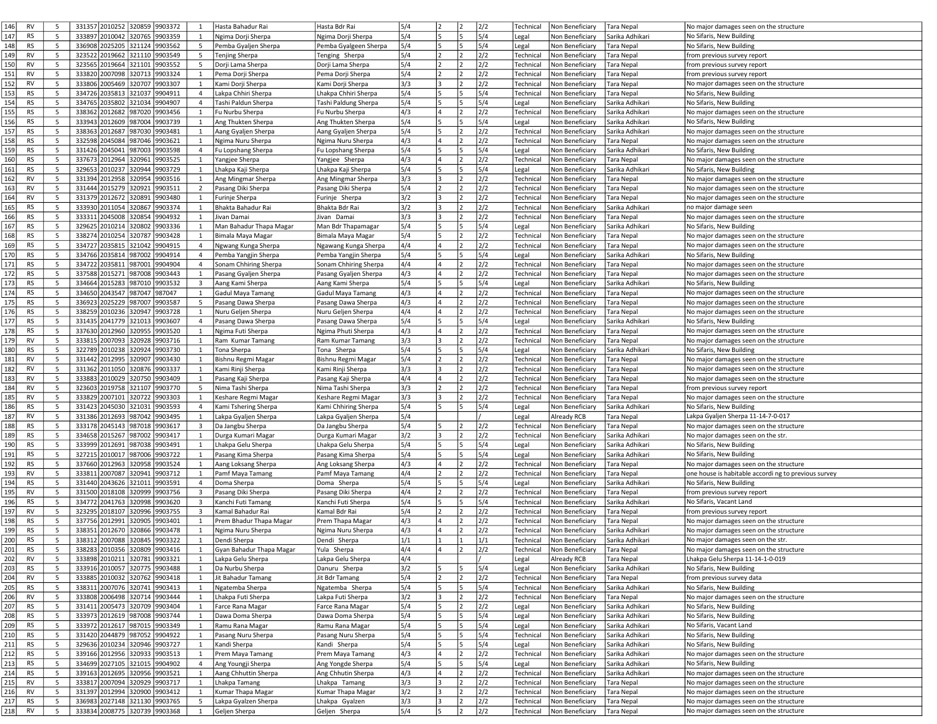| 146<br><b>RV</b> | -5 | 331357 2010252 320859 | 9903372                       | 1                       | Hasta Bahadur Rai        | Hasta Bdr Rai         | 5/4 |    |                | 2/2 | Technical | Non Beneficiary | Tara Nepal        | No major damages seen on the structure               |
|------------------|----|-----------------------|-------------------------------|-------------------------|--------------------------|-----------------------|-----|----|----------------|-----|-----------|-----------------|-------------------|------------------------------------------------------|
|                  | 5  |                       |                               |                         |                          |                       |     |    | 5              |     |           |                 |                   |                                                      |
| 147<br><b>RS</b> |    | 333897 2010042        | 320765<br>9903359             | 1                       | Ngima Dorji Sherpa       | Ngima Dorji Sherpa    | 5/4 | 5  |                | 5/4 | Legal     | Non Beneficiar  | Sarika Adhikari   | No Sifaris, New Building                             |
| 148<br>RS        | 5  | 336908 2025205 321124 | 9903562                       | 5                       | Pemba Gyaljen Sherpa     | Pemba Gyalgeen Sherpa | 5/4 | 5  | 5              | 5/4 | Legal     | Non Beneficiary | Tara Nepal        | No Sifaris, New Building                             |
| 149<br>RV        | 5  | 323522 2019662        | 321110<br>9903549             | 5                       | Tenjing Sherpa           | Tenging Sherpa        | 5/4 |    | 2              | 2/2 | Technical | Non Beneficiary | Tara Nepal        | from previous survey report                          |
| 150<br><b>RV</b> | 5  | 323565 2019664        | 321101<br>9903552             | 5                       | Dorji Lama Sherpa        | Dorji Lama Sherpa     | 5/4 | 2  | $\overline{2}$ | 2/2 | Technical | Non Beneficiar  | <b>Tara Nepal</b> | from previous survey report                          |
| 151<br><b>RV</b> | 5  | 333820 2007098        | 320713<br>9903324             | 1                       | Pema Dorji Sherpa        | Pema Dorji Sherpa     | 5/4 | 2  | 12.            | 2/2 | Technical | Non Beneficiary | Tara Nepal        | from previous survey report                          |
| 152<br><b>RV</b> | 5  | 333806 2005469 320707 | 9903307                       | $\mathbf{1}$            | Kami Dorji Sherpa        | Kami Dorji Sherpa     | 3/3 | 3  | 2              | 2/2 | Technical | Non Beneficiary | <b>Tara Nepal</b> | No major damages seen on the structure               |
|                  | 5  |                       |                               |                         |                          |                       |     | l5 | 5              |     |           |                 |                   |                                                      |
| 153<br><b>RS</b> |    | 334726 2035813        | 321037<br>9904911             | 4                       | Lakpa Chhiri Sherpa      | Lhakpa Chhiri Sherpa  | 5/4 |    |                | 5/4 | Technical | Non Beneficiar  | Tara Nepal        | No Sifaris, New Building                             |
| 154<br><b>RS</b> | 5  | 334765 2035802        | 321034<br>9904907             | $\overline{4}$          | Tashi Paldun Sherpa      | Tashi Paldung Sherpa  | 5/4 | 5  | 15             | 5/4 | Legal     | Non Beneficiary | Sarika Adhikari   | No Sifaris, New Building                             |
| 155<br><b>RS</b> | 5  | 338362 2012682 987020 | 9903456                       | $\mathbf{1}$            | Fu Nurbu Sherpa          | Fu Nurbu Sherpa       | 4/3 | 4  | 2              | 2/2 | Technical | Non Beneficiary | Sarika Adhikari   | No major damages seen on the structure               |
| 156<br><b>RS</b> | 5  | 333943 2012609        | 9903739<br>987004             | 1                       | Ang Thukten Sherpa       | Ang Thukten Sherpa    | 5/4 | 5  | 5              | 5/4 | Legal     | Non Beneficiary | Sarika Adhikari   | No Sifaris, New Building                             |
| 157<br><b>RS</b> | 5  | 338363 2012687        | 987030<br>9903481             | 1                       | Aang Gyaljen Sherpa      | Aang Gyaljen Sherpa   | 5/4 | 5  | 2              | 2/2 | Technical | Non Beneficiary | Sarika Adhikari   | No major damages seen on the structure               |
| 158<br><b>RS</b> | 5  | 332598 2045084        | 987046<br>9903621             | $\mathbf{1}$            | Ngima Nuru Sherpa        | Ngima Nuru Sherpa     | 4/3 | 4  | 2              | 2/2 | Technical | Non Beneficiary | Tara Nepal        | No major damages seen on the structure               |
| 159<br><b>RS</b> | 5  | 331426 2045041        | 987003<br>9903598             | $\overline{4}$          |                          |                       | 5/4 | l5 | 5              | 5/4 |           | Non Beneficiar  |                   | No Sifaris, New Building                             |
|                  |    |                       |                               |                         | Fu Lopshang Sherpa       | Fu Lopshang Sherpa    |     |    |                |     | Legal     |                 | Sarika Adhikari   |                                                      |
| 160<br><b>RS</b> | 5  | 337673 2012964        | 320961<br>9903525             | 1                       | Yangjee Sherpa           | Yangjee Sherpa        | 4/3 | 4  | 2              | 2/2 | Technical | Non Beneficiary | Tara Nepal        | No major damages seen on the structure               |
| 161<br><b>RS</b> | 5  | 329653 2010237        | 320944<br>9903729             | $\mathbf{1}$            | Lhakpa Kaji Sherpa       | Lhakpa Kaji Sherpa    | 5/4 | 5  | 15.            | 5/4 | Legal     | Non Beneficiary | Sarika Adhikari   | No Sifaris, New Building                             |
| 162<br>RV        | 5  | 331394 2012958 320954 | 9903516                       | 1                       | Ang Mingmar Sherpa       | Ang Mingmar Sherpa    | 3/3 | 3  | 2              | 2/2 | Technical | Non Beneficiary | Tara Nepal        | No major damages seen on the structure               |
| 163<br><b>RV</b> | 5  | 331444 2015279        | 320921<br>9903511             | $\overline{2}$          | Pasang Diki Sherpa       | Pasang Diki Sherpa    | 5/4 | 2  | 12.            | 2/2 | Technical | Non Beneficiary | Tara Nepal        | No major damages seen on the structure               |
| 164<br>RV        | 5  | 331379 2012672        | 320891<br>9903480             | 1                       | Furinje Sherpa           | Furinje Sherpa        | 3/2 | 3  |                | 2/2 | Technical | Non Beneficiary | ara Nepal         | No major damages seen on the structure               |
| 165<br><b>RS</b> | 5  | 333930 2011054 320867 | 9903374                       | $\mathbf{1}$            | Bhakta Bahadur Rai       | Bhakta Bdr Rai        | 3/2 | 3  | 2              | 2/2 | Technical | Non Beneficiary | Sarika Adhikari   | no major damage seen                                 |
| 166<br><b>RS</b> | 5  | 333311 2045008        | 320854<br>9904932             | 1                       | Jivan Damai              | Jivan Damai           | 3/3 | 3  | 2              | 2/2 | Technical | Non Beneficiary | Tara Nepal        | No major damages seen on the structure               |
|                  |    |                       |                               |                         |                          |                       |     |    |                |     |           |                 |                   |                                                      |
| 167<br><b>RS</b> | 5  | 329625 2010214        | 320802<br>9903336             | 1                       | Man Bahadur Thapa Magar  | Man Bdr Thapamagar    | 5/4 | 15 | 5              | 5/4 | Legal     | Non Beneficiary | Sarika Adhikari   | No Sifaris, New Building                             |
| 168<br><b>RS</b> | 5  | 338274 2010254 320787 | 9903428                       | 1                       | Bimala Maya Magar        | Bimala Maya Magar     | 5/4 | 5  |                | 2/2 | Technical | Non Beneficiary | Tara Nepal        | No major damages seen on the structure               |
| 169<br><b>RS</b> | 5  | 334727 2035815        | 321042<br>9904915             | $\overline{4}$          | Ngwang Kunga Sherpa      | Ngawang Kunga Sherpa  | 4/4 | 14 | 2              | 2/2 | Technical | Non Beneficiary | Tara Nepal        | No major damages seen on the structure               |
| 170<br><b>RS</b> | 5  | 334766 2035814 987002 | 9904914                       | $\overline{4}$          | Pemba Yangjin Sherpa     | Pemba Yangjin Sherpa  | 5/4 | 5  | 5              | 5/4 | Legal     | Non Beneficiary | Sarika Adhikari   | No Sifaris, New Building                             |
| 171<br><b>RS</b> | -5 | 334722 2035811 987001 | 9904904                       | $\overline{4}$          | Sonam Chhiring Sherpa    | Sonam Chhiring Sherpa | 4/4 | 14 |                | 2/2 | Technical | Non Beneficiary | Tara Nepal        | No major damages seen on the structure               |
| 172<br><b>RS</b> | 5  | 337588 2015271        | 987008<br>9903443             | 1                       | Pasang Gyaljen Sherpa    | Pasang Gyaljen Sherpa | 4/3 | 14 | $\overline{2}$ | 2/2 | Technical | Non Beneficiary | <b>Tara Nepal</b> | No major damages seen on the structure               |
|                  |    |                       |                               |                         |                          |                       |     |    |                |     |           |                 |                   |                                                      |
| 173<br><b>RS</b> | 5  | 334664 2015283        | 987010<br>9903532             | $\overline{\mathbf{3}}$ | Aang Kami Sherpa         | Aang Kami Sherpa      | 5/4 | 5  | 15             | 5/4 | Legal     | Non Beneficiary | Sarika Adhikari   | No Sifaris, New Building                             |
| 174<br><b>RS</b> | 5  | 334650 2043547 987047 | 987047                        | 1                       | Gadul Maya Tamang        | Gadul Maya Tamang     | 4/3 | 14 | $\overline{2}$ | 2/2 | Technical | Non Beneficiary | Tara Nepal        | No major damages seen on the structure               |
| 175<br><b>RS</b> | 5  | 336923 2025229        | 987007<br>9903587             | 5                       | Pasang Dawa Sherpa       | Pasang Dawa Sherpa    | 4/3 | ١4 |                | 2/2 | Technical | Non Beneficiar  | Tara Nepal        | No major damages seen on the structure               |
| 176<br><b>RS</b> | 5  | 338259 2010236        | 320947<br>9903728             | 1                       | Nuru Geljen Sherpa       | Nuru Geljen Sherpa    | 4/4 | 4  | 2              | 2/2 | Technical | Non Beneficiary | <b>Tara Nepal</b> | No major damages seen on the structure               |
| 177<br><b>RS</b> | 5  | 331435 2041779 321013 | 9903607                       | $\overline{4}$          | Pasang Dawa Sherpa       | Pasang Dawa Sherpa    | 5/4 | 5  | 5              | 5/4 | Legal     | Non Beneficiary | Sarika Adhikari   | No Sifaris, New Building                             |
| 178<br><b>RS</b> | 5  | 337630 2012960 320955 | 9903520                       | 1                       | Ngima Futi Sherpa        | Ngima Phuti Sherpa    | 4/3 | 14 |                | 2/2 | Technical | Non Beneficiary | Tara Nepal        | No major damages seen on the structure               |
|                  |    |                       |                               |                         |                          |                       |     |    |                |     |           |                 |                   |                                                      |
| 179<br><b>RV</b> | 5  | 333815 2007093        | 320928<br>9903716             | 1                       | Ram Kumar Tamang         | Ram Kumar Tamang      | 3/3 | 3  | 2              | 2/2 | Technical | Non Beneficiary | Tara Nepal        | No major damages seen on the structure               |
| 180<br><b>RS</b> | 5  | 322789 2010238 320924 | 9903730                       | 1                       | Tona Sherpa              | Tona Sherpa           | 5/4 | 5  | 5              | 5/4 | Legal     | Non Beneficiary | Sarika Adhikari   | No Sifaris, New Building                             |
| 181<br>RV        | 5  | 331442 2012995        | 320907<br>9903430             | 1                       | Bishnu Regmi Magar       | Bishnu Regmi Magar    | 5/4 | 2  |                | 2/2 | Technical | Non Beneficiary | Tara Nepal        | No major damages seen on the structure               |
| 182<br><b>RV</b> | 5  | 331362 2011050        | 320876<br>9903337             | 1                       | Kami Rinji Sherpa        | Kami Rinji Sherpa     | 3/3 | 3  | 2              | 2/2 | Technical | Non Beneficiary | Tara Nepal        | No major damages seen on the structure               |
| 183<br>RV        | 5  | 333883 2010029 320750 | 9903409                       | $\mathbf{1}$            | Pasang Kaji Sherpa       | Pasang Kaji Sherpa    | 4/4 | 4  | 2              | 2/2 | Technical | Non Beneficiary | Tara Nepal        | No major damages seen on the structure               |
| 184<br>RV        | 5  | 323603 2019758 321107 | 9903770                       | 5                       | Nima Tashi Sherpa        | Nima Tashi Sherpa     | 3/3 |    | $\overline{2}$ | 2/2 | Technical | Non Beneficiar  | Tara Nepal        | from previous survey report                          |
|                  |    |                       |                               |                         |                          |                       |     |    |                |     |           |                 |                   |                                                      |
| 185<br><b>RV</b> | 5  | 333829 2007101        | 320722<br>9903303             | 1                       | Keshare Regmi Magar      | Keshare Regmi Magar   | 3/3 | 3  | 2              | 2/2 | Technical | Non Beneficiary | Tara Nepal        | No major damages seen on the structure               |
| 186<br><b>RS</b> | 5  | 331423 2045030 321031 | 9903593                       | $\overline{4}$          | Kami Tshering Sherpa     | Kami Chhiring Sherpa  | 5/4 |    | 5              | 5/4 | Legal     | Non Beneficiary | Sarika Adhikari   | No Sifaris, New Building                             |
| 187<br><b>RV</b> | 5  | 331386 2012693 987042 | 9903495                       | 1                       | Lakpa Gyaljen Sherpa     | Lakpa Gyaljen Sherpa  | 5/4 |    |                |     | Legal     | Already RCB     | Tara Nepal        | Lakpa Gyaljen Sherpa 11-14-7-0-017                   |
| 188<br><b>RS</b> | 5  | 333178 2045143 987018 | 9903617                       | $\overline{\mathbf{3}}$ | Da Jangbu Sherpa         | Da Jangbu Sherpa      | 5/4 | 5  | $\overline{2}$ | 2/2 | Technical | Non Beneficiary | Tara Nepal        | No major damages seen on the structure               |
| 189<br><b>RS</b> | 5  | 334658 2015267 987002 | 9903417                       | 1                       | Durga Kumari Magar       | Durga Kumari Magar    | 3/2 | l3 | 2              | 2/2 | Technical | Non Beneficiary | Sarika Adhikari   | No major damages seen on the str.                    |
| 190<br><b>RS</b> | 5  | 333999 2012691 987038 | 9903491                       | 1                       | Lhakpa Gelu Sherpa       | Lhakpa Gelu Sherpa    | 5/4 | 5  | 5              | 5/4 | Legal     | Non Beneficiary | Sarika Adhikari   | No Sifaris, New Building                             |
| 191<br><b>RS</b> | 5  | 327215 2010017 987006 | 9903722                       |                         |                          |                       | 5/4 | 5  | 5              | 5/4 |           |                 |                   | No Sifaris, New Building                             |
|                  |    |                       |                               | 1                       | Pasang Kima Sherpa       | Pasang Kima Sherpa    |     |    |                |     | Legal     | Non Beneficiary | Sarika Adhikari   |                                                      |
| 192<br><b>RS</b> | 5  | 337660 2012963 320958 | 9903524                       | 1                       | Aang Loksang Sherpa      | Ang Loksang Sherpa    | 4/3 | 4  | 2              | 2/2 | Technical | Non Beneficiary | Tara Nepal        | No major damages seen on the structure               |
| 193<br>RV        | 5  | 333811 2007087 320941 | 9903712                       | $\mathbf{1}$            | Pamf Maya Tamang         | Pamf Maya Tamang      | 4/4 |    |                | 2/2 | Technical | Non Beneficiary | <b>Tara Nepal</b> | one house is habitable accordi ng to previous survey |
| 194<br><b>RS</b> | 5  | 331440 2043626 321011 | 9903591                       | $\overline{4}$          | Doma Sherpa              | Doma Sherpa           | 5/4 | 5  | 5              | 5/4 | Legal     | Non Beneficiary | Sarika Adhikari   | No Sifaris, New Building                             |
| 195<br>RV        | 5  | 331500 2018108 320999 | 9903756                       | 3                       | Pasang Diki Sherpa       | Pasang Diki Sherpa    | 4/4 | 2  | 2              | 2/2 | Technical | Non Beneficiary | Tara Nepal        | from previous survey report                          |
| 196<br><b>RS</b> | 5  | 334772 2041763 320998 | 9903620                       | $\overline{\mathbf{3}}$ | Kanchi Futi Tamang       | Kanchi Futi Sherpa    | 5/4 | 5  | 5              | 5/4 | Technical | Non Beneficiary | Sarika Adhikari   | No Sifaris, Vacant Land                              |
| 197<br><b>RV</b> | 5  | 323295 2018107        | 320996<br>9903755             | $\overline{\mathbf{3}}$ | Kamal Bahadur Rai        | Kamal Bdr Rai         | 5/4 | 2  | 2              | 2/2 | Technical | Non Beneficiary | Tara Nepal        | from previous survey report                          |
|                  |    |                       |                               |                         |                          |                       |     |    |                |     |           |                 |                   |                                                      |
| 198<br>RS        | 5  | 337756 2012991        | 320905<br>9903401             | 1                       | Prem Bhadur Thapa Magar  | Prem Thapa Magar      | 4/3 | 4  | 2              | 2/2 | Technical | Non Beneficiary | Tara Nepal        | No major damages seen on the structure               |
| 199<br><b>RS</b> | 5  | 338351 2012670 320866 | 9903478                       | 1                       | Ngima Nuru Sherpa        | Ngima Nuru Sherpa     | 4/3 |    | $\overline{2}$ | 2/2 | Technical | Non Beneficiary | Sarika Adhikari   | No major damages seen on the structure               |
| 200<br><b>RS</b> | 5  | 338312 2007088 320845 | 9903322                       | $\mathbf{1}$            | Dendi Sherpa             | Dendi Sherpa          | 1/1 |    |                | 1/1 | Technical | Non Beneficiary | Sarika Adhikari   | No major damages seen on the str.                    |
| 201<br><b>RS</b> | 5  | 338283 2010356 320809 | 9903416                       | 1                       | Gvan Bahadur Thapa Magar | Yula Sherpa           | 4/4 |    | $\overline{2}$ | 2/2 | Technical | Non Beneficiary | <b>Tara Nepal</b> | No major damages seen on the structure               |
| 202<br><b>RV</b> | 5  | 333898 2010211 320781 | 9903321                       | $\overline{1}$          | Lakpa Gelu Sherpa        | Lakpa Gelu Sherpa     | 4/4 |    |                |     | Legal     | Already RCB     | <b>Tara Nepal</b> | Lhakpa Gelu Sherpa 11-14-1-0-019                     |
| 203<br><b>RS</b> | 5  | 333916 2010057 320775 | 9903488                       | 1                       | Da Nurbu Sherpa          | Danuru Sherpa         | 3/2 |    |                | 5/4 | Legal     | Non Beneficiary | Sarika Adhikari   | No Sifaris, New Building                             |
|                  |    |                       |                               |                         |                          |                       |     |    |                |     |           |                 |                   |                                                      |
| 204<br>RV        | 5  | 333885 2010032 320762 | 9903418                       | 1                       | Jit Bahadur Tamang       | Jit Bdr Tamang        | 5/4 | 2  | 2              | 2/2 | Technical | Non Beneficiary | Tara Nepal        | from previous survey data                            |
| 205<br><b>RS</b> | 5  | 338311 2007076 320741 | 9903413                       | $\mathbf{1}$            | Ngatemba Sherpa          | Ngatemba Sherpa       | 5/4 | 5  | 5              | 5/4 | Technical | Non Beneficiary | Sarika Adhikari   | No Sifaris, New Building                             |
| 206<br><b>RV</b> | 5  | 333808 2006498 320714 | 9903444                       | $\mathbf{1}$            | Lhakpa Futi Sherpa       | Lakpa Futi Sherpa     | 3/2 | 3  | $\overline{2}$ | 2/2 | Technical | Non Beneficiary | Tara Nepal        | No major damages seen on the structure               |
| 207<br>RS        | 5  | 331411 2005473 320709 | 9903404                       | 1                       | Farce Rana Magar         | Farce Rana Magar      | 5/4 | 5  | 2              | 2/2 | Legal     | Non Beneficiary | Sarika Adhikari   | No Sifaris, New Building                             |
| 208<br><b>RS</b> | 5  | 333973 2012619 987008 | 9903744                       | $\mathbf{1}$            | Dawa Doma Sherpa         | Dawa Doma Sherpa      | 5/4 | 5  | 5              | 5/4 | Legal     | Non Beneficiary | Sarika Adhikari   | No Sifaris, New Building                             |
| 209<br><b>RS</b> | 5  | 333972 2012617 987015 | 9903349                       | 1                       | Ramu Rana Magar          | Ramu Rana Magar       | 5/4 | l5 | 5              | 5/4 | Legal     | Non Beneficiary | Sarika Adhikari   | No Sifaris, Vacant Land                              |
|                  |    |                       |                               |                         |                          |                       |     |    |                |     |           |                 |                   |                                                      |
| 210<br><b>RS</b> | 5  | 331420 2044879 987052 | 9904922                       | 1                       | Pasang Nuru Sherpa       | Pasang Nuru Sherpa    | 5/4 | 5  | 15             | 5/4 | Technical | Non Beneficiary | Sarika Adhikari   | No Sifaris, New Building                             |
| 211<br><b>RS</b> | 5  | 329636 2010234 320946 | 9903727                       | $\mathbf{1}$            | Kandi Sherpa             | Kandi Sherpa          | 5/4 | 15 | 15.            | 5/4 | Legal     | Non Beneficiary | Sarika Adhikari   | No Sifaris, New Building                             |
| 212<br><b>RS</b> | 5  | 339166 2012956 320933 | 9903513                       | 1                       | Prem Maya Tamang         | Prem Maya Tamang      | 4/3 | 4  | 2              | 2/2 | Technical | Non Beneficiary | Sarika Adhikari   | No major damages seen on the structure               |
| 213<br><b>RS</b> | 5  | 334699 2027105 321015 | 9904902                       | $\overline{4}$          | Ang Youngji Sherpa       | Ang Yongde Sherpa     | 5/4 | 5  | 5              | 5/4 | Legal     | Non Beneficiary | Sarika Adhikari   | No Sifaris, New Building                             |
| 214<br>RS        | 5  | 339163 2012695 320956 | 9903521                       | $\mathbf{1}$            | Aang Chhuttin Sherpa     | Ang Chhutin Sherpa    | 4/3 | 4  |                | 2/2 | Technical | Non Beneficiary | Sarika Adhikari   | No major damages seen on the structure               |
| 215<br><b>RV</b> | 5  | 333817 2007094 320929 | 9903717                       | 1                       | Lhakpa Tamang            | Lhakpa Tamang         | 3/3 | 3  | 2              | 2/2 | Technical | Non Beneficiary | Tara Nepal        | No major damages seen on the structure               |
|                  |    |                       |                               |                         |                          |                       |     |    |                |     |           |                 |                   |                                                      |
| 216<br>RV        | 5  | 331397 2012994 320900 | 9903412                       | $\mathbf{1}$            | Kumar Thapa Magar        | Kumar Thapa Magar     | 3/2 | 3  | 2              | 2/2 | Technical | Non Beneficiary | Tara Nepal        | No major damages seen on the structure               |
| 217<br><b>RS</b> | 5  | 336983 2027148 321130 | 9903765                       | 5                       | Lakpa Gyalzen Sherpa     | Lhakpa Gyalzen        | 3/3 | 3  | 2              | 2/2 | Technical | Non Beneficiary | Tara Nepal        | No major damages seen on the structure               |
| 218<br>RV        | 5  |                       | 333834 2008775 320739 9903368 | $\frac{1}{2}$           | Geljen Sherpa            | Geljen Sherpa         | 5/4 | l5 | 2              | 2/2 | Technical | Non Beneficiary | <b>Tara Nepal</b> | No major damages seen on the structure               |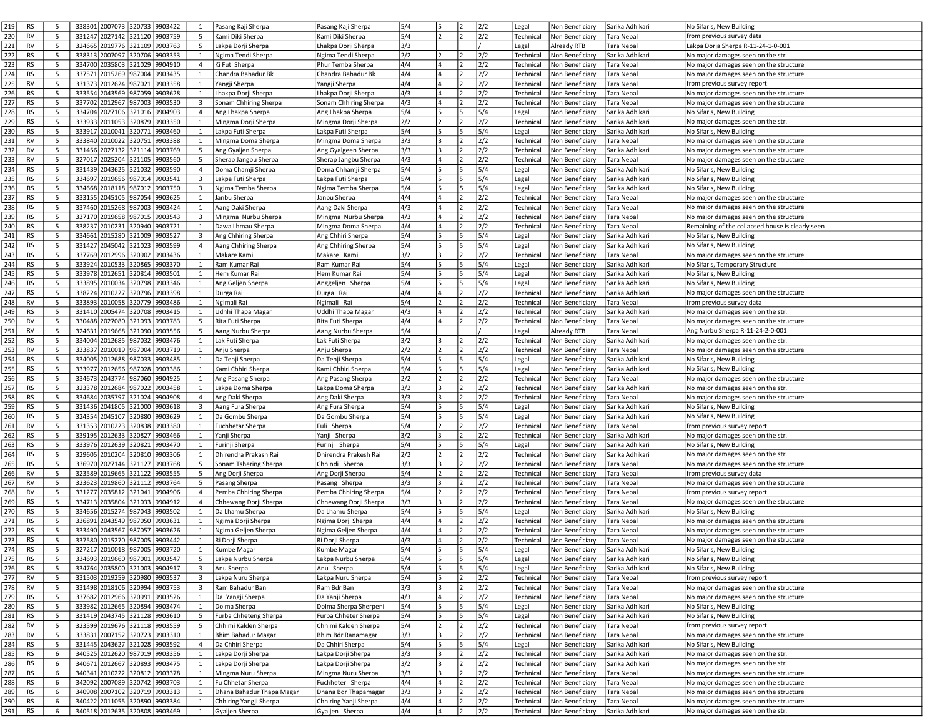| 219<br><b>RS</b>              | - 5    |        |                | 338301 2007073 320733<br>9903422                   | 1                       | Pasang Kaji Sherpa                       | Pasang Kaji Sherpa                      | 5/4        | 15     |                | 2/2        | Non Beneficiary<br>Legal                                     | Sarika Adhikari               | No Sifaris, New Building                                                    |
|-------------------------------|--------|--------|----------------|----------------------------------------------------|-------------------------|------------------------------------------|-----------------------------------------|------------|--------|----------------|------------|--------------------------------------------------------------|-------------------------------|-----------------------------------------------------------------------------|
| 220<br><b>RV</b>              | -5     |        | 331247 2027142 | 321120<br>9903759                                  | 5                       | Kami Diki Sherpa                         | Kami Diki Sherpa                        | 5/4        | 2      |                | 2/2        | Technical<br>Non Beneficiary                                 | <b>Tara Nepal</b>             | from previous survey data                                                   |
|                               |        |        |                |                                                    |                         |                                          |                                         |            |        |                |            |                                                              |                               |                                                                             |
| 221<br>RV                     | 5      |        | 324665 2019776 | 321109<br>9903763                                  | 5                       | Lakpa Dorji Sherpa                       | Lhakpa Dorji Sherpa                     | 3/3        |        |                |            | Legal<br>Already RTB                                         | Tara Nepal                    | Lakpa Dorja Sherpa R-11-24-1-0-001                                          |
| 222<br><b>RS</b>              | 5      |        | 338313 2007097 | 320706<br>9903353                                  | $\mathbf{1}$            | Ngima Tendi Sherpa                       | Ngima Tendi Sherpa                      | 2/2        |        |                | 2/2        | Technical<br>Non Beneficiary                                 | Sarika Adhikari               | No major damages seen on the str.                                           |
| 223<br><b>RS</b>              | .5     | 334700 | 2035803        | 321029<br>9904910                                  | 4                       | Ki Futi Sherpa                           | Phur Temba Sherpa                       | 4/4        |        | $\overline{2}$ | 2/2        | Technical<br>Non Benefician                                  | Tara Nepal                    | No major damages seen on the structure                                      |
| 224<br>RS                     | 5      |        | 337571 2015269 | 987004<br>9903435                                  | 1                       | Chandra Bahadur Bk                       | Chandra Bahadur Bk                      | 4/4        | 4      | 2              | 2/2        | Technical<br>Non Beneficiary                                 | Tara Nepal                    | No major damages seen on the structure                                      |
| 225<br><b>RV</b>              | -5     | 331373 | 2012624        | 987021<br>9903358                                  | $\mathbf{1}$            | Yangji Sherpa                            | Yangji Sherpa                           | 4/4        | 14     |                | 2/2        | Technical<br>Non Beneficiary                                 | Tara Nepal                    | from previous survey report                                                 |
| 226<br><b>RS</b>              | 5      | 333554 | 2043569        | 987059<br>9903628                                  | 1                       | Lhakpa Dorji Sherpa                      |                                         | 4/3        |        | $\overline{2}$ | 2/2        | Technical<br>Non Beneficiar                                  | Tara Nepal                    | No major damages seen on the structure                                      |
|                               |        |        |                |                                                    |                         |                                          | Lhakpa Dorji Sherpa                     |            |        |                |            |                                                              |                               |                                                                             |
| 227<br><b>RS</b>              | 5      | 337702 | 2012967        | 987003<br>9903530                                  | 3                       | Sonam Chhiring Sherpa                    | Sonam Chhiring Sherpa                   | 4/3        | 4      | 2              | 2/2        | Technical<br>Non Beneficiary                                 | Tara Nepal                    | No major damages seen on the structure                                      |
| 228<br><b>RS</b>              | -5     | 334704 | 2027106        | 321016<br>9904903                                  | $\overline{4}$          | Ang Lhakpa Sherpa                        | Ang Lhakpa Sherpa                       | 5/4        | 15     | 5              | 5/4        | Legal<br>Non Beneficiary                                     | Sarika Adhikari               | No Sifaris, New Building                                                    |
| 229<br><b>RS</b>              | 5      |        | 333933 2011053 | 320879<br>9903350                                  | 1                       | Mingma Dorji Sherpa                      | Mingma Dorji Sherpa                     | 2/2        | 2      | 2              | 2/2        | Technical<br>Non Beneficiary                                 | Sarika Adhikari               | No major damages seen on the str.                                           |
| 230<br><b>RS</b>              | 5      | 333917 | 2010041        | 320771<br>9903460                                  | $\mathbf{1}$            | Lakpa Futi Sherpa                        | Lakpa Futi Sherpa                       | 5/4        | 5      | 5              | 5/4        | Legal<br>Non Beneficiary                                     | Sarika Adhikari               | No Sifaris, New Building                                                    |
| 231<br>RV                     | 5      |        | 333840 2010022 | 320751<br>9903388                                  | $\mathbf{1}$            | Mingma Doma Sherpa                       | Mingma Doma Sherpa                      | 3/3        | 3      | 2              | 2/2        | Technical<br>Non Beneficiary                                 | Tara Nepal                    | No major damages seen on the structure                                      |
| 232<br><b>RV</b>              | 5      | 331456 | 2027132        | 321114<br>9903769                                  | 5                       | Ang Gyaljen Sherpa                       | Ang Gyalgeen Sherpa                     | 3/3        | l 3    | $\overline{2}$ | 2/2        | Technical                                                    | Sarika Adhikari               | No major damages seen on the structure                                      |
|                               |        |        |                |                                                    |                         |                                          |                                         |            |        |                |            | Non Beneficiary                                              |                               |                                                                             |
| 233<br><b>RV</b>              | 5      | 327017 | 2025204        | 321105<br>9903560                                  | 5                       | Sherap Jangbu Sherpa                     | Sherap Jangbu Sherpa                    | 4/3        | 4      | 2              | 2/2        | Technical<br>Non Beneficiary                                 | Tara Nepal                    | No major damages seen on the structure                                      |
| 234<br><b>RS</b>              | 5      | 331439 | 2043625        | 321032<br>9903590                                  | 4                       | Doma Chamji Sherpa                       | Doma Chhamji Sherpa                     | 5/4        | 5      | 5              | 5/4        | Legal<br>Non Benefician                                      | Sarika Adhikari               | No Sifaris, New Building                                                    |
| 235<br><b>RS</b>              | 5      | 334697 | 2019656        | 987014<br>9903541                                  | 3                       | Lakpa Futi Sherpa                        | Lakpa Futi Sherpa                       | 5/4        | 5      | 5              | 5/4        | Legal<br>Non Beneficiary                                     | Sarika Adhikari               | No Sifaris, New Building                                                    |
| 236<br><b>RS</b>              | 5      | 334668 | 2018118        | 987012<br>9903750                                  | 3                       | Ngima Temba Sherpa                       | Ngima Temba Sherpa                      | 5/4        | 5      | 5              | 5/4        | Non Beneficiary<br>Legal                                     | Sarika Adhikari               | No Sifaris, New Building                                                    |
| 237<br><b>RS</b>              | 5      | 333155 | 2045105        | 987054<br>9903625                                  | 1                       | Janbu Sherpa                             | Janbu Sherpa                            | 4/4        | 4      | 2              | 2/2        | Technical<br>Non Beneficiary                                 | <b>Tara Nepal</b>             | No major damages seen on the structure                                      |
| 238<br><b>RS</b>              | 5      |        | 337460 2015268 | 987003<br>9903424                                  | 1                       | Aang Daki Sherpa                         | Aang Daki Sherpa                        | 4/3        | 14     | 2              | 2/2        | Technical<br>Non Beneficiary                                 | Tara Nepal                    | No major damages seen on the structure                                      |
|                               |        |        |                |                                                    |                         |                                          |                                         |            |        | $\overline{2}$ |            |                                                              |                               |                                                                             |
| 239<br><b>RS</b>              | -5     | 337170 | 2019658        | 987015<br>9903543                                  | 3                       | Mingma Nurbu Sherpa                      | Mingma Nurbu Sherpa                     | 4/3        | ١4     |                | 2/2        | Technical<br>Non Benefician                                  | Tara Nepal                    | No major damages seen on the structure                                      |
| 240<br>RS                     | 5      | 338237 | 2010231        | 320940<br>9903721                                  | 1                       | Dawa Lhmau Sherpa                        | Mingma Doma Sherpa                      | 4/4        | 4      | 2              | 2/2        | Technical<br>Non Beneficiary                                 | Tara Nepal                    | Remaining of the collapsed house is clearly seen                            |
| 241<br><b>RS</b>              | 5      | 334661 | 2015280        | 321009<br>9903527                                  | 3                       | Ang Chhiring Sherpa                      | Ang Chhiri Sherpa                       | 5/4        | 5      | 5              | 5/4        | Legal<br>Non Beneficiary                                     | Sarika Adhikari               | No Sifaris, New Building                                                    |
| 242<br><b>RS</b>              | -5     | 331427 | 2045042        | 321023<br>9903599                                  | 4                       | Aang Chhiring Sherpa                     | Ang Chhiring Sherpa                     | 5/4        | l5     | 5              | 5/4        | Legal<br>Non Beneficiary                                     | Sarika Adhikari               | No Sifaris, New Building                                                    |
| 243<br><b>RS</b>              | 5      |        | 337769 2012996 | 320902<br>9903436                                  | 1                       | Makare Kami                              | Makare Kami                             | 3/2        | 3      | 2              | 2/2        | Technical<br>Non Beneficiary                                 | Tara Nepal                    | No major damages seen on the structure                                      |
| 244<br><b>RS</b>              | 5      |        | 333924 2010533 | 320865<br>9903370                                  | 1                       | Ram Kumar Rai                            | Ram Kumar Rai                           | 5/4        | 5      | 5              | 5/4        | Legal<br>Non Beneficiary                                     | Sarika Adhikari               | No Sifaris, Temporary Structure                                             |
|                               |        |        |                |                                                    |                         |                                          |                                         |            |        |                |            |                                                              |                               |                                                                             |
| 245<br><b>RS</b>              | -5     | 333978 | 2012651        | 320814<br>9903501                                  | 1                       | Hem Kumar Rai                            | Hem Kumar Rai                           | 5/4        | 5      | 5              | 5/4        | Legal<br>Non Beneficiary                                     | Sarika Adhikari               | No Sifaris, New Building                                                    |
| 246<br><b>RS</b>              | 5      | 333895 | 2010034        | 320798<br>9903346                                  | 1                       | Ang Geljen Sherpa                        | Anggeljen Sherpa                        | 5/4        | 5      | 5              | 5/4        | Legal<br>Non Beneficiary                                     | Sarika Adhikari               | No Sifaris, New Building                                                    |
| 247<br><b>RS</b>              | 5      |        | 338224 2010227 | 320796<br>9903398                                  | 1                       | Durga Rai                                | Durga Rai                               | 4/4        | 4      | 2              | 2/2        | Technical<br>Non Beneficiary                                 | Sarika Adhikari               | No major damages seen on the structure                                      |
| 248<br><b>RV</b>              | -5     | 333893 | 2010058        | 320779<br>9903486                                  | 1                       | Ngimali Rai                              | Ngimali Rai                             | 5/4        |        | 2              | 2/2        | Technical<br>Non Benefician                                  | Tara Nepal                    | from previous survey data                                                   |
| 249<br><b>RS</b>              | 5      | 331410 | 2005474        | 320708<br>9903415                                  | 1                       | Udhhi Thapa Magar                        | Uddhi Thapa Magar                       | 4/3        | 4      | $\overline{2}$ | 2/2        | Technical<br>Non Beneficiary                                 | Sarika Adhikari               | No major damages seen on the str.                                           |
| 250<br><b>RV</b>              | 5      |        | 330488 2027080 | 321093<br>9903783                                  | 5                       | Rita Futi Sherpa                         | Rita Futi Sherpa                        | 4/4        | 14     |                | 2/2        | Technical<br>Non Beneficiary                                 | Tara Nepal                    | No major damages seen on the structure                                      |
|                               | -5     |        |                |                                                    |                         |                                          |                                         |            |        |                |            |                                                              |                               |                                                                             |
| 251<br><b>RV</b>              |        | 324631 | 2019668        | 9903556<br>321090                                  | 5                       | Aang Nurbu Sherpa                        | Aang Nurbu Sherpa                       | 5/4        |        |                |            | Legal<br>Already RTB                                         | Tara Nepal                    | Ang Nurbu Sherpa R-11-24-2-0-001                                            |
| 252<br><b>RS</b>              | 5      |        | 334004 2012685 | 987032<br>9903476                                  | 1                       | Lak Futi Sherpa                          | Lak Futi Sherpa                         | 3/2        | 3      | $\overline{2}$ | 2/2        | Technical<br>Non Beneficiar                                  | Sarika Adhikari               | No major damages seen on the str.                                           |
| 253<br><b>RV</b>              | 5      | 333837 | 2010019        | 987004<br>9903719                                  | $\mathbf{1}$            | Anju Sherpa                              | Anju Sherpa                             | 2/2        |        | 2              | 2/2        | Technical<br>Non Beneficiary                                 | Tara Nepal                    | No major damages seen on the structure                                      |
| 254<br><b>RS</b>              | -5     |        | 334005 2012688 | 987033<br>9903485                                  | 1                       | Da Tenji Sherpa                          | Da Tenji Sherpa                         | 5/4        |        | 5              | 5/4        | Legal<br>Non Beneficiary                                     | Sarika Adhikari               | No Sifaris, New Building                                                    |
| 255<br><b>RS</b>              | -5     |        | 333977 2012656 | 987028<br>9903386                                  | $\mathbf{1}$            | Kami Chhiri Sherpa                       | Kami Chhiri Sherpa                      | 5/4        | 5      | 5              | 5/4        | Legal<br>Non Beneficiary                                     | Sarika Adhikari               | No Sifaris, New Building                                                    |
| 256<br><b>RS</b>              | 5      |        | 334673 2043774 | 987060<br>9904925                                  | $\mathbf{1}$            | Ang Pasang Sherpa                        | Ang Pasang Sherpa                       | 2/2        |        | 2              | 2/2        | Technical<br>Non Beneficiary                                 | Tara Nepal                    | No major damages seen on the structure                                      |
| 257<br><b>RS</b>              | 5      |        | 323378 2012684 | 987022<br>9903458                                  | 1                       | Lakpa Doma Sherpa                        | Lakpa Doma Sherpa                       | 3/2        |        |                | 2/2        | Technical<br>Non Beneficiary                                 | Sarika Adhikari               | No major damages seen on the str.                                           |
|                               |        |        |                |                                                    |                         |                                          |                                         |            | 3      | $\overline{2}$ |            |                                                              |                               |                                                                             |
| 258<br><b>RS</b>              | 5      |        | 334684 2035797 | 321024<br>9904908                                  | 4                       | Ang Daki Sherpa                          | Ang Daki Sherpa                         | 3/3        |        |                | 2/2        | Technical<br>Non Beneficiary                                 | Tara Nepal                    | No major damages seen on the structure                                      |
| 259<br><b>RS</b>              | 5      |        | 331436 2041805 | 321000<br>9903618                                  | 3                       | Aang Fura Sherpa                         | Ang Fura Sherpa                         | 5/4        | 5      | 5              | 5/4        | Legal<br>Non Beneficiary                                     | Sarika Adhikari               | No Sifaris, New Building                                                    |
| 260<br><b>RS</b>              | -5     |        | 324354 2045107 | 320880<br>9903629                                  | 1                       | Da Gombu Sherpa                          | Da Gombu Sherpa                         | 5/4        | 5      | 5              | 5/4        | Legal<br>Non Beneficiary                                     | Sarika Adhikari               | No Sifaris, New Building                                                    |
| 261<br><b>RV</b>              | 5      |        | 331353 2010223 | 320838<br>9903380                                  | 1                       | Fuchhetar Sherpa                         | Fuli Sherpa                             | 5/4        | 2      | $\overline{2}$ | 2/2        | Technical<br>Non Beneficiary                                 | Tara Nepal                    | from previous survey report                                                 |
| 262<br><b>RS</b>              | 5      |        | 339195 2012633 | 320827<br>9903466                                  | 1                       | Yanji Sherpa                             | Yanji Sherpa                            | 3/2        | 3      | 2              | 2/2        | Technical<br>Non Beneficiary                                 | Sarika Adhikari               | No major damages seen on the str.                                           |
| 263<br><b>RS</b>              | 5      |        | 333976 2012639 | 320821<br>9903470                                  | 1                       | Furinji Sherpa                           | Furinji Sherpa                          | 5/4        | 5      | 5              | 5/4        | Legal<br>Non Beneficiary                                     | Sarika Adhikari               | No Sifaris, New Building                                                    |
| 264<br><b>RS</b>              | -5     | 329605 | 2010204        | 320810<br>9903306                                  | $\mathbf{1}$            | Dhirendra Prakash Rai                    | Dhirendra Prakesh Rai                   | 2/2        |        |                | 2/2        | Technical<br>Non Beneficiar                                  | iarika Adhikari               | No major damages seen on the str.                                           |
|                               |        |        |                |                                                    |                         |                                          |                                         |            |        |                |            |                                                              |                               |                                                                             |
| 265<br>RS                     | - 5    | 336970 | 2027144        | 321127<br>9903768                                  | 5                       | Sonam Tshering Sherpa                    | Chhindi Sherpa                          | 3/3        | 3      | 2              | 2/2        | Technical<br>Non Beneficiary                                 | Tara Nepal                    | No major damages seen on the structure                                      |
| 266<br><b>RV</b>              | 5      |        | 323589 2019665 | 321122<br>9903555                                  | 5                       | Ang Dorji Sherpa                         | Ang Dorji Sherpa                        | 5/4        | 12     | 2              | 2/2        | Technical<br>Non Beneficiary                                 | Tara Nepal                    | from previous survey data                                                   |
| 267<br><b>RV</b>              | -5     | 323623 | 2019860        | 321112<br>9903764                                  | 5                       | Pasang Sherpa                            | Pasang Sherpa                           | 3/3        | l 3    | $\overline{2}$ | 2/2        | Technical<br>Non Beneficiar                                  | <b>Tara Nepal</b>             | No major damages seen on the structure                                      |
| 268<br>RV                     | 5      | 331277 | 2035812        | 321041<br>9904906                                  | 4                       | Pemba Chhiring Sherpa                    | Pemba Chhiring Sherpa                   | 5/4        | 2      | 2              | 2/2        | Technical<br>Non Beneficiary                                 | Tara Nepal                    | from previous survey report                                                 |
| 269<br><b>RS</b>              | 5      |        | 334713 2035804 | 321033<br>9904912                                  | $\overline{4}$          | Chhewang Dorji Sherpa                    | Chhewang Dorji Sherpa                   | 3/3        | 3      | 2              | 2/2        | Technical<br>Non Beneficiary                                 | Tara Nepal                    | No major damages seen on the structure                                      |
| 270<br><b>RS</b>              | -5     | 334656 | 2015274        | 987043<br>9903502                                  | $\mathbf{1}$            | Da Lhamu Sherpa                          | Da Lhamu Sherpa                         | 5/4        | l5     | 5              | 5/4        | Legal<br>Non Beneficiar                                      | Sarika Adhikari               | No Sifaris, New Building                                                    |
|                               |        |        |                |                                                    |                         |                                          |                                         |            |        |                |            |                                                              |                               |                                                                             |
| 271<br>RS                     | 5      | 336891 | 2043549        | 987050<br>9903631                                  | 1                       | Ngima Dorji Sherpa                       | Ngima Dorji Sherpa                      | 4/4        | 14     | 2              | 2/2        | Technical<br>Non Beneficiary                                 | Tara Nepal                    | No major damages seen on the structure                                      |
| 272<br><b>RS</b>              | 5      | 333490 | 2043567        | 987057<br>9903626                                  | $\mathbf{1}$            | Ngima Geljen Sherpa                      | Ngima Geljen Sherpa                     | 4/4        | 4      | 2              | 2/2        | Technical<br>Non Beneficiary                                 | Tara Nepal                    | No major damages seen on the structure                                      |
| 273<br><b>RS</b>              | 5      | 337580 | 2015270        | 987005<br>9903442                                  | 1                       | Ri Dorji Sherpa                          | Ri Dorji Sherpa                         | 4/3        | 4      | 2              | 2/2        | Technical<br>Non Beneficiary                                 | Tara Nepal                    | No major damages seen on the structure                                      |
| 274<br><b>RS</b>              | 5      | 327217 | 2010018        | 987005<br>9903720                                  | 1                       | Kumbe Magar                              | Kumbe Magar                             | 5/4        | l٢.    | l s            | 5/4        | Legal<br>Non Beneficiary                                     | Sarika Adhikari               | No Sifaris, New Building                                                    |
| 275<br>RS                     | 5      |        |                | 334693 2019660 987001<br>9903547                   | 5                       | Lakpa Nurbu Sherpa                       | Lakpa Nurbu Sherpa                      | 5/4        | 15     | 5              | 5/4        | Legal<br>Non Beneficiary                                     | Sarika Adhikari               | No Sifaris, New Building                                                    |
| 276<br><b>RS</b>              | 5      |        |                | 334764 2035800 321003<br>9904917                   | $\overline{\mathbf{3}}$ | Anu Sherpa                               | Anu Sherpa                              | 5/4        | 5      | 5              | 5/4        | Legal<br>Non Beneficiary                                     | Sarika Adhikari               | No Sifaris, New Building                                                    |
| 277<br>RV                     |        |        |                |                                                    |                         |                                          |                                         | 5/4        | 5      | 2              | 2/2        | Technical<br>Non Beneficiary                                 |                               |                                                                             |
|                               |        |        |                |                                                    |                         |                                          |                                         |            |        |                |            |                                                              |                               |                                                                             |
|                               | 5      |        |                | 331503 2019259 320980<br>9903537                   | $\overline{\mathbf{3}}$ | Lakpa Nuru Sherpa                        | Lakpa Nuru Sherpa                       |            |        |                |            |                                                              | Tara Nepal                    | from previous survey report                                                 |
| 278<br>RV                     | 5      |        |                | 9903753<br>331498 2018106 320994                   | $\overline{\mathbf{3}}$ | Ram Bahadur Ban                          | Ram Bdr Ban                             | 3/3        | 3      |                | 2/2        | Technical<br>Non Beneficiary                                 | Tara Nepal                    | No major damages seen on the structure                                      |
| 279<br><b>RS</b>              | 5      |        | 337682 2012966 | 320991<br>9903526                                  | $\mathbf{1}$            | Da Yangji Sherpa                         | Da Yanji Sherpa                         | 4/3        | 4      | 2              | 2/2        | Technical<br>Non Beneficiary                                 | Tara Nepal                    | No major damages seen on the structure                                      |
| 280<br>RS                     | 5      |        | 333982 2012665 | 320894<br>9903474                                  | 1                       | Dolma Sherpa                             | Dolma Sherpa Sherpeni                   | 5/4        | 5      | 5              | 5/4        | Non Beneficiary<br>Legal                                     | Sarika Adhikari               | No Sifaris, New Building                                                    |
| 281<br>RS                     | 5      |        | 331419 2043745 | 321128<br>9903610                                  | 5                       | Furba Chheteng Sherpa                    | Furba Chheter Sherpa                    | 5/4        | 15     | 15.            | 5/4        | Legal<br>Non Beneficiary                                     | Sarika Adhikari               | No Sifaris, New Building                                                    |
|                               |        |        |                |                                                    |                         |                                          |                                         |            |        |                |            |                                                              |                               |                                                                             |
| 282<br>RV                     | 5      |        | 323599 2019676 | 321118<br>9903559                                  | 5 <sup>5</sup>          | Chhimi Kalden Sherpa                     | Chhimi Kalden Sherpa                    | 5/4        |        | 2              | 2/2        | Technical<br>Non Beneficiary                                 | Tara Nepal                    | from previous survey report                                                 |
| 283<br>RV                     | 5      |        | 333831 2007152 | 320723<br>9903310                                  | 1                       | Bhim Bahadur Magar                       | Bhim Bdr Ranamagar                      | 3/3        | 3      | 2              | 2/2        | Technical<br>Non Beneficiary                                 | Tara Nepal                    | No major damages seen on the structure                                      |
| 284<br>RS                     | -5     |        | 331445 2043627 | 321028<br>9903592                                  | $\overline{4}$          | Da Chhiri Sherpa                         | Da Chhiri Sherpa                        | 5/4        | 5      | 5              | 5/4        | Legal<br>Non Beneficiary                                     | Sarika Adhikari               | No Sifaris, New Building                                                    |
| 285<br><b>RS</b>              | 6      |        | 340525 2012620 | 987019<br>9903356                                  | $\mathbf{1}$            | Lakpa Dorji Sherpa                       | Lakpa Dorji Sherpa                      | 3/3        | l3     | 2              | 2/2        | Technical<br>Non Beneficiary                                 | Sarika Adhikari               | No major damages seen on the str.                                           |
| 286<br><b>RS</b>              | 6      |        | 340671 2012667 | 320893<br>9903475                                  | 1                       | Lakpa Dorji Sherpa                       | Lakpa Dorji Sherpa                      | 3/2        | 3      | 2              | 2/2        | Technical<br>Non Beneficiary                                 | Sarika Adhikari               | No major damages seen on the str.                                           |
| 287<br>RS                     | 6      |        | 340341 2010222 | 320812<br>9903378                                  | 1                       | Mingma Nuru Sherpa                       | Mingma Nuru Sherpa                      | 3/3        | 3      | 12.            | 2/2        | Technical<br>Non Beneficiary                                 | Tara Nepal                    | No major damages seen on the structure                                      |
|                               | 6      |        |                |                                                    | $\mathbf{1}$            |                                          | Fuchheter Sherpa                        |            |        | 2              |            | Non Beneficiary                                              |                               |                                                                             |
| 288<br><b>RS</b>              |        |        | 342092 2007089 | 320742<br>9903703                                  |                         | Fu Chhetar Sherpa                        |                                         | 4/4        |        |                | 2/2        | Technical                                                    | Tara Nepal                    | No major damages seen on the structure                                      |
| 289<br><b>RS</b>              | 6      | 340908 | 2007102        | 320719<br>9903313                                  | 1                       | Dhana Bahadur Thapa Magar                | Dhana Bdr Thapamagar                    | 3/3        | l٦     | $\overline{2}$ | 2/2        | Technical<br>Non Beneficiary                                 | Tara Nepal                    | No major damages seen on the structure                                      |
| 290<br>RS<br>291<br><b>RS</b> | 6<br>6 |        | 340422 2011055 | 320890<br>9903384<br>340518 2012635 320808 9903469 | 1<br>1                  | Chhiring Yangji Sherpa<br>Gyaljen Sherpa | Chhiring Yanji Sherpa<br>Gyaljen Sherpa | 4/4<br>4/4 | 4<br>4 | 2<br>2         | 2/2<br>2/2 | Technical<br>Non Beneficiary<br>Technical<br>Non Beneficiary | Tara Nepal<br>Sarika Adhikari | No major damages seen on the structure<br>No major damages seen on the str. |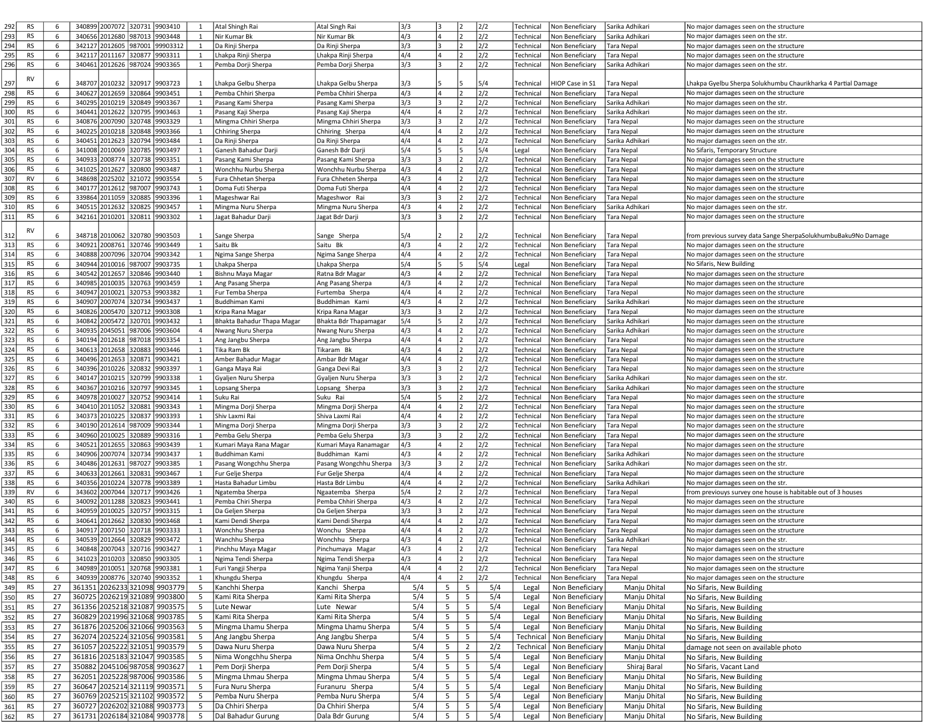| 292 | <b>RS</b> | 6  | 340899 2007072 320731         |        | 9903410  | 1              | Atal Shingh Rai            | Atal Singh Rai         | 3/3 | 3                            |                | 2/2 | Technical | Non Beneficiary<br>Sarika Adhikari   | No major damages seen on the structure                         |
|-----|-----------|----|-------------------------------|--------|----------|----------------|----------------------------|------------------------|-----|------------------------------|----------------|-----|-----------|--------------------------------------|----------------------------------------------------------------|
|     |           |    |                               |        |          |                |                            |                        |     |                              |                |     |           |                                      |                                                                |
| 293 | <b>RS</b> | 6  | 340656 2012680 987013         |        | 9903448  | 1              | Nir Kumar Bk               | Nir Kumar Bk           | 4/3 | 4<br>12                      |                | 2/2 | Technical | Non Beneficiary<br>Sarika Adhikari   | No major damages seen on the str.                              |
| 294 | RS        | 6  | 342127 2012605 987001         |        | 99903312 | 1              | Da Rinji Sherpa            | Da Rinji Sherpa        | 3/3 | 3<br>12                      |                | 2/2 | Technical | Non Beneficiary<br><b>Tara Nepal</b> | No major damages seen on the structure                         |
| 295 | <b>RS</b> | 6  | 342117 2011167 320877         |        | 9903311  | 1              | Lhakpa Rinji Sherpa        | Lhakpa Rinji Sherpa    | 4/4 | 4                            |                | 2/2 | Technical | Non Beneficiary<br><b>Tara Nepal</b> | No major damages seen on the structure                         |
| 296 | RS        | 6  | 340461 2012626 987024         |        | 9903365  |                |                            |                        | 3/3 |                              |                | 2/2 | Technical | Sarika Adhikari                      | No major damages seen on the str.                              |
|     |           |    |                               |        |          | 1              | Pemba Dorji Sherpa         | Pemba Dorji Sherpa     |     |                              |                |     |           | Non Beneficiary                      |                                                                |
|     | <b>RV</b> |    |                               |        |          |                |                            |                        |     |                              |                |     |           |                                      |                                                                |
| 297 |           | 6  | 348707 2010232 320917         |        | 9903723  | 1              | Lhakpa Gelbu Sherpa        | Lhakpa Gelbu Sherpa    | 3/3 |                              |                | 5/4 | Technical | HIOP Case in S1<br>Tara Nepal        | Lhakpa Gyelbu Sherpa Solukhumbu Chaurikharka 4 Partial Damage  |
| 298 | <b>RS</b> | 6  | 340627 2012659 320864         |        | 9903451  | 1              | Pemba Chhiri Sherpa        | Pemba Chhiri Sherpa    | 4/3 | 12                           |                | 2/2 | Technical | Non Beneficiary<br>Tara Nepal        | No major damages seen on the structure                         |
| 299 | <b>RS</b> | 6  | 340295 2010219 320849         |        | 9903367  | 1              |                            |                        | 3/3 | 3                            |                | 2/2 | Technical | Non Beneficiary<br>Sarika Adhikari   | No major damages seen on the str.                              |
|     |           |    |                               |        |          |                | Pasang Kami Sherpa         | Pasang Kami Sherpa     |     |                              |                |     |           |                                      |                                                                |
| 300 | <b>RS</b> | 6  | 340441 2012622 320795         |        | 9903463  | 1              | Pasang Kaji Sherpa         | Pasang Kaji Sherpa     | 4/4 | 4                            |                | 2/2 | Technical | Non Beneficiary<br>Sarika Adhikari   | No major damages seen on the str.                              |
| 301 | RS        | 6  | 340876 2007090 320748         |        | 9903329  | 1              | Mingma Chhiri Sherpa       | Mingma Chhiri Sherpa   | 3/3 |                              |                | 2/2 | Technical | Non Beneficiary<br><b>Tara Nepal</b> | No major damages seen on the structure                         |
| 302 | <b>RS</b> | 6  | 340225 2010218 320848         |        | 9903366  | 1              | Chhiring Sherpa            | Chhiring Sherpa        | 4/4 | 4<br>$\overline{\mathbf{z}}$ |                | 2/2 | Technical | Non Beneficiary<br><b>Tara Nepal</b> | No major damages seen on the structure                         |
|     |           |    |                               |        |          |                |                            |                        |     |                              |                |     |           |                                      |                                                                |
| 303 | <b>RS</b> | 6  | 340451 2012623 320794         |        | 9903484  | 1              | Da Rinji Sherpa            | Da Rinji Sherpa        | 4/4 | 4                            |                | 2/2 | Technical | Non Beneficiary<br>Sarika Adhikari   | No major damages seen on the str.                              |
| 304 | RS        | 6  | 341008 2010069 320785         |        | 9903497  | 1              | Ganesh Bahadur Darji       | Ganesh Bdr Darji       | 5/4 | l5                           |                | 5/4 | Legal     | Non Beneficiary<br><b>Tara Nepal</b> | No Sifaris, Temporary Structure                                |
| 305 | RS        | 6  | 340933 2008774                | 320738 | 9903351  | 1              | Pasang Kami Sherpa         | Pasang Kami Sherpa     | 3/3 | 3                            |                | 2/2 | Technical | Non Beneficiary<br><b>Tara Nepal</b> | No major damages seen on the structure                         |
| 306 | <b>RS</b> | 6  | 341025 2012627 320800         |        | 9903487  | 1              |                            |                        | 4/3 | 4                            |                | 2/2 |           | Non Beneficiary                      |                                                                |
|     |           |    |                               |        |          |                | Wonchhu Nurbu Sherpa       | Wonchhu Nurbu Sherpa   |     |                              |                |     | Technical | Tara Nepal                           | No major damages seen on the structure                         |
| 307 | <b>RV</b> | 6  | 348698 2025202 321072         |        | 9903554  | 5              | Fura Chhetan Sherpa        | Fura Chheten Sherpa    | 4/3 |                              |                | 2/2 | Technical | Non Beneficiary<br><b>Tara Nepal</b> | No major damages seen on the structure                         |
| 308 | <b>RS</b> | 6  | 340177 2012612                | 987007 | 9903743  | 1              | Doma Futi Sherpa           | Doma Futi Sherpa       | 4/4 | 4                            |                | 2/2 | Technical | Non Beneficiary<br><b>Tara Nepal</b> | No major damages seen on the structure                         |
| 309 | <b>RS</b> | 6  | 339864 2011059                | 320885 | 9903396  | 1              | Mageshwar Rai              | Mageshwor Rai          | 3/3 | 3                            |                | 2/2 | Technical | Non Beneficiary<br>Tara Nepal        | No major damages seen on the structure                         |
|     |           | 6  | 340515 2012632 320825         |        |          | 1              |                            |                        |     | 4                            |                |     |           |                                      |                                                                |
| 310 | RS        |    |                               |        | 9903457  |                | Mingma Nuru Sherpa         | Mingma Nuru Sherpa     | 4/3 |                              |                | 2/2 | Technical | Non Beneficiary<br>Sarika Adhikari   | No major damages seen on the str.                              |
| 311 | <b>RS</b> | 6  | 342161 2010201 320811         |        | 9903302  | $\mathbf{1}$   | Jagat Bahadur Darji        | Jagat Bdr Darji        | 3/3 | 3                            |                | 2/2 | Technical | Non Beneficiary<br><b>Tara Nepal</b> | No major damages seen on the structure                         |
|     |           |    |                               |        |          |                |                            |                        |     |                              |                |     |           |                                      |                                                                |
| 312 | RV        | 6  | 348718 2010062 320780         |        | 9903503  | 1              | Sange Sherpa               | Sange Sherpa           | 5/4 |                              |                | 2/2 | Technical | Non Beneficiary<br>Tara Nepal        | from previous survey data Sange SherpaSolukhumbuBaku9No Damage |
| 313 | <b>RS</b> | 6  | 340921 2008761 320746         |        | 9903449  | 1              | Saitu Bk                   | Saitu Bk               | 4/3 | 4                            |                | 2/2 | Technical | Non Beneficiary<br><b>Tara Nepal</b> | No major damages seen on the structure                         |
|     |           |    |                               |        |          |                |                            |                        |     |                              |                |     |           |                                      |                                                                |
| 314 | <b>RS</b> | 6  | 340888 2007096 320704         |        | 9903342  | 1              | Ngima Sange Sherpa         | Ngima Sange Sherpa     | 4/4 | 4<br>12                      |                | 2/2 | Technical | Non Beneficiary<br><b>Tara Nepal</b> | No major damages seen on the structure                         |
| 315 | RS        | 6  | 340944 2010016 987007         |        | 9903735  | 1              | Lhakpa Sherpa              | Lhakpa Sherpa          | 5/4 | 5<br>l5                      |                | 5/4 | Legal     | Non Beneficiary<br><b>Tara Nepal</b> | No Sifaris, New Building                                       |
| 316 | <b>RS</b> | 6  | 340542 2012657 320846         |        | 9903440  | 1              | Bishnu Maya Magar          | Ratna Bdr Magar        | 4/3 |                              |                | 2/2 | Technical | Non Beneficiary<br><b>Tara Nepal</b> | No major damages seen on the structure                         |
|     |           |    |                               |        |          |                |                            |                        |     | 4                            |                |     |           |                                      |                                                                |
| 317 | <b>RS</b> | 6  | 340985 2010035 320763         |        | 9903459  | 1              | Ang Pasang Sherpa          | Ang Pasang Sherpa      | 4/3 |                              |                | 2/2 | Technical | Non Beneficiary<br>Tara Nepal        | No major damages seen on the structure                         |
| 318 | RS        | 6  | 340947 2010021 320753         |        | 9903382  | 1              | Fur Temba Sherpa           | Furtemba Sherpa        | 4/4 |                              |                | 2/2 | Technical | Non Beneficiary<br><b>Tara Nepal</b> | No major damages seen on the structure                         |
| 319 | <b>RS</b> | 6  | 340907 2007074 320734         |        | 9903437  | 1              | Buddhiman Kami             | Buddhiman Kami         | 4/3 |                              |                | 2/2 | Technical | Non Beneficiary<br>Sarika Adhikari   | No major damages seen on the structure                         |
| 320 | RS        | 6  | 340826 2005470 320712         |        | 9903308  | 1              | Kripa Rana Magar           | Kripa Rana Magar       | 3/3 | 3                            |                | 2/2 | Technical | Non Beneficiary<br>Tara Nepal        | No major damages seen on the structure                         |
|     |           | 6  | 340842 2005472 320701         |        | 9903432  | 1              | Bhakta Bahadur Thapa Magar | Bhakta Bdr Thapamagar  | 5/4 |                              |                | 2/2 |           |                                      |                                                                |
| 321 | RS        |    |                               |        |          |                |                            |                        |     |                              |                |     | Technical | Non Beneficiary<br>Sarika Adhikari   | No major damages seen on the structure                         |
| 322 | <b>RS</b> | 6  | 340935 2045051                | 987006 | 9903604  | $\overline{4}$ | Nwang Nuru Sherpa          | Nwang Nuru Sherpa      | 4/3 |                              |                | 2/2 | Technical | Sarika Adhikari<br>Non Beneficiary   | No major damages seen on the structure                         |
| 323 | RS        | 6  | 340194 2012618 987018         |        | 9903354  | 1              | Ang Jangbu Sherpa          | Ang Jangbu Sherpa      | 4/4 | 4                            |                | 2/2 | Technical | Non Beneficiary<br><b>Tara Nepal</b> | No major damages seen on the structure                         |
| 324 | RS        | 6  | 340613 2012658 320883         |        | 9903446  | 1              | Tika Ram Bk                | Tikaram Bk             | 4/3 |                              |                | 2/2 | Technical | Non Beneficiary<br><b>Tara Nepal</b> | No major damages seen on the structure                         |
| 325 | RS        | 6  | 340496 2012653                | 320871 | 9903421  | 1              | Amber Bahadur Magar        | Ambar Bdr Magar        | 4/4 |                              |                | 2/2 | Technical | Non Beneficiary<br>Tara Nepal        | No major damages seen on the structure                         |
|     |           |    |                               |        |          |                |                            |                        |     |                              |                |     |           |                                      |                                                                |
| 326 | <b>RS</b> | 6  | 340396 2010226 320832         |        | 9903397  | 1              | Ganga Maya Rai             | Ganga Devi Rai         | 3/3 | 3                            |                | 2/2 | Technical | Non Beneficiary<br>Tara Nepal        | No major damages seen on the structure                         |
| 327 | RS        | 6  | 340147 2010215 320799         |        | 9903338  | 1              | Gyaljen Nuru Sherpa        | Gyaljen Nuru Sherpa    | 3/3 |                              |                | 2/2 | Technical | Non Beneficiary<br>Sarika Adhikari   | No major damages seen on the str.                              |
| 328 | RS        | 6  | 340367 2010216 320797         |        | 9903345  | 1              | Lopsang Sherpa             | Lopsang Sherpa         | 3/3 |                              |                | 2/2 | Technical | Non Beneficiary<br>Sarika Adhikari   | No major damages seen on the structure                         |
| 329 | <b>RS</b> | 6  | 340978 2010027 320752         |        | 9903414  | 1              | Suku Rai                   | Suku Rai               | 5/4 | 5<br>$\overline{\mathbf{z}}$ |                | 2/2 | Technical | Non Beneficiary<br><b>Tara Nepal</b> | No major damages seen on the structure                         |
| 330 |           |    | 340410 2011052 320881         |        | 9903343  |                |                            |                        | 4/4 | 4                            |                | 2/2 |           |                                      |                                                                |
|     | RS        | 6  |                               |        |          | 1              | Mingma Dorji Sherpa        | Mingma Dorji Sherpa    |     |                              |                |     | Technical | Non Beneficiary<br><b>Tara Nepal</b> | No major damages seen on the structure                         |
| 331 | RS        | 6  | 340373 2010225 320837         |        | 9903393  | 1              | Shiv Laxmi Rai             | Shiva Laxmi Rai        | 4/4 |                              |                | 2/2 | Technical | Non Beneficiary<br>Tara Nepal        | No major damages seen on the structure                         |
| 332 | <b>RS</b> | 6  | 340190 2012614 987009         |        | 9903344  | 1              | Mingma Dorji Sherpa        | Mingma Dorji Sherpa    | 3/3 | 3                            |                | 2/2 | Technical | Non Beneficiary<br><b>Tara Nepal</b> | No major damages seen on the structure                         |
| 333 | RS        | 6  | 340960 2010025 320889         |        | 9903316  | 1              | Pemba Gelu Sherpa          | Pemba Gelu Sherpa      | 3/3 |                              |                | 2/2 | Technical | Non Beneficiary<br><b>Tara Nepal</b> | No major damages seen on the structure                         |
| 334 | RS        | 6  | 340521 2012655 320863         |        | 9903439  | 1              | Kumari Maya Rana Magar     | Kumari Maya Ranamagar  | 4/3 |                              |                | 2/2 | Technical | Non Beneficiary<br>Tara Nepal        | No major damages seen on the structure                         |
|     |           |    |                               |        |          |                |                            |                        |     |                              |                |     |           |                                      |                                                                |
| 335 | <b>RS</b> | 6  | 340906 2007074                | 320734 | 9903437  | 1              | Buddhiman Kami             | Buddhiman Kami         | 4/3 | 4                            |                | 2/2 | Technical | Non Beneficiary<br>Sarika Adhikar    | No major damages seen on the structure                         |
| 336 | RS        | 6  | 340486 2012631                | 987027 | 9903385  | 1              | Pasang Wongchhu Sherpa     | Pasang Wongchhu Sherpa | 3/3 |                              |                | 2/2 | Technical | Non Beneficiary<br>Sarika Adhikari   | No major damages seen on the str.                              |
| 337 | <b>RS</b> | 6  | 340633 2012661 320831         |        | 9903467  | 1              | Fur Gelje Sherpa           | Fur Gelje Sherpa       | 4/4 | 4                            |                | 2/2 | Technical | Non Beneficiary<br>Tara Nepal        | No major damages seen on the structure                         |
| 338 | <b>RS</b> | 6  | 340356 2010224                | 320778 | 9903389  | 1              | Hasta Bahadur Limbu        | Hasta Bdr Limbu        | 4/4 | 4                            |                | 2/2 | Technical | Non Beneficiary<br>Sarika Adhikari   | No major damages seen on the str.                              |
|     |           |    |                               |        |          |                |                            |                        |     |                              |                |     |           |                                      |                                                                |
| 339 | <b>RV</b> | 6  | 343602 2007044                | 320717 | 9903426  | 1              | Ngatemba Sherpa            | Ngaatemba Sherpa       | 5/4 |                              |                | 2/2 | Technical | Non Beneficiary<br><b>Tara Nepal</b> | from previouys survey one house is habitable out of 3 houses   |
| 340 | RS        | 6  | 340092 2011288 320823         |        | 9903441  | 1              | Pemba Chiri Sherpa         | Pemba Chhiri Sherpa    | 4/3 | 4                            |                | 2/2 | Technical | Non Beneficiary<br>Tara Nepal        | No major damages seen on the structure                         |
| 341 | <b>RS</b> | 6  | 340959 2010025                | 320757 | 9903315  | 1              | Da Geljen Sherpa           | Da Geljen Sherpa       | 3/3 |                              |                | 2/2 | Technical | Non Beneficiary<br><b>Tara Nepal</b> | No major damages seen on the structure                         |
| 342 | RS        | 6  | 340641 2012662                | 320830 | 9903468  | 1              | Kami Dendi Sherpa          | Kami Dendi Sherpa      | 4/4 | 4                            |                | 2/2 | Technical | Non Beneficiary<br><b>Tara Nepal</b> | No major damages seen on the structure                         |
|     | RS        | 6  | 340917 2007150 320718         |        | 9903333  | 1              |                            |                        | 4/4 | 4                            |                | 2/2 |           |                                      |                                                                |
| 343 |           |    |                               |        |          |                | Wonchhu Sherpa             | Wonchu Sherpa          |     |                              |                |     | Technical | Non Beneficiary<br><b>Tara Nepal</b> | No major damages seen on the structure                         |
| 344 | <b>RS</b> | 6  | 340539 2012664 320829         |        | 9903472  |                | Wanchhu Sherpa             | Wonchhu Sherpa         | 4/3 | 4                            |                | 2/2 | Technical | Non Beneficiary<br>Sarika Adhikari   | No major damages seen on the str.                              |
| 345 | <b>RS</b> | 6  | 340848 2007043 320716 9903427 |        |          |                | Pinchhu Maya Magar         | Pinchumaya Magar       | 4/3 | 12                           |                | 2/2 | Technical | Non Beneficiary<br><b>Tara Nepal</b> | No major damages seen on the structure                         |
| 346 | <b>RS</b> | 6  | 341023 2010203 320850 9903305 |        |          | 1              | Ngima Tendi Sherpa         | Ngima Tendi Sherpa     | 4/3 |                              |                | 2/2 | Technical | Non Beneficiary<br><b>Tara Nepal</b> | No major damages seen on the structure                         |
| 347 | <b>RS</b> | 6  | 340989 2010051 320768         |        | 9903381  |                | Furi Yangji Sherpa         | Ngima Yanji Sherpa     | 4/4 | 12                           |                | 2/2 | Technical | Non Beneficiary<br>Tara Nepal        | No major damages seen on the structure                         |
|     |           |    |                               |        |          | 1              |                            |                        |     |                              |                |     |           |                                      |                                                                |
| 348 | RS        | 6  | 340939 2008776 320740 9903352 |        |          | $\mathbf{1}$   | Khungdu Sherpa             | Khungdu Sherpa         | 4/4 | 12                           |                | 2/2 | Technical | Non Beneficiary<br><b>Tara Nepal</b> | No major damages seen on the structure                         |
| 349 | RS        | 27 | 361351 2026233 321098 9903779 |        |          | 5              | Kanchhi Sherpa             | Kanchi Sherpa          | 5/4 | 5                            | 5              | 5/4 | Legal     | Manju Dhital<br>Non Beneficiary      | No Sifaris, New Building                                       |
| 350 | RS        | 27 | 360725 2026219 321089 9903800 |        |          | 5              | Kami Rita Sherpa           | Kami Rita Sherpa       | 5/4 | $5 \mid$                     | 5              | 5/4 | Legal     | Non Beneficiary<br>Manju Dhital      | No Sifaris, New Building                                       |
| 351 | <b>RS</b> | 27 | 361356 2025218 321087 9903575 |        |          | 5              | Lute Newar                 | Lute Newar             | 5/4 | $5-1$                        | 5              | 5/4 | Legal     | Non Beneficiary<br>Manju Dhital      | No Sifaris, New Building                                       |
|     |           |    |                               |        |          |                |                            |                        |     |                              |                |     |           |                                      |                                                                |
| 352 | RS        | 27 | 360829 2021996 321068 9903785 |        |          | 5              | Kami Rita Sherpa           | Kami Rita Sherpa       | 5/4 | $5-1$                        | $5^{\circ}$    | 5/4 | Legal     | Non Beneficiary<br>Manju Dhital      | No Sifaris, New Building                                       |
| 353 | RS        | 27 | 361876 2025206 321066 9903563 |        |          | 5              | Mingma Lhamu Sherpa        | Mingma Lhamu Sherpa    | 5/4 | $5-1$                        | 5              | 5/4 | Legal     | Non Beneficiary<br>Manju Dhital      | No Sifaris, New Building                                       |
| 354 | RS        | 27 | 362074 2025224 321056 9903581 |        |          | 5              | Ang Jangbu Sherpa          | Ang Jangbu Sherpa      | 5/4 | $5-1$                        | $5^{\circ}$    | 5/4 | Technical | Non Beneficiary<br>Manju Dhital      | No Sifaris, New Building                                       |
| 355 | <b>RS</b> | 27 | 361057 2025222 321051 9903579 |        |          | 5              | Dawa Nuru Sherpa           | Dawa Nuru Sherpa       | 5/4 | 5 <sup>1</sup>               | $\overline{2}$ | 2/2 | Technical | Non Beneficiary<br>Manju Dhital      | damage not seen on available photo                             |
|     |           |    |                               |        |          |                |                            |                        |     |                              |                |     |           |                                      |                                                                |
| 356 | <b>RS</b> | 27 | 361816 2025183 321047 9903585 |        |          | 5              | Nima Wongchhu Sherpa       | Nima Onchhu Sherpa     | 5/4 | $5-1$                        | 5              | 5/4 | Legal     | Non Beneficiary<br>Manju Dhital      | No Sifaris, New Building                                       |
| 357 | RS        | 27 | 350882 2045106 987058 9903627 |        |          | 1              | Pem Dorji Sherpa           | Pem Dorji Sherpa       | 5/4 | $5-1$                        | $5^{\circ}$    | 5/4 | Legal     | Non Beneficiary<br>Shiraj Baral      | No Sifaris, Vacant Land                                        |
| 358 | RS        | 27 | 362051 2025228 987006 9903586 |        |          | 5              | Mingma Lhmau Sherpa        | Mingma Lhmau Sherpa    | 5/4 | $5-1$                        | 5              | 5/4 | Legal     | Non Beneficiary<br>Manju Dhital      | No Sifaris, New Building                                       |
| 359 | RS        | 27 | 360647 2025214 321119 9903571 |        |          | 5              | Fura Nuru Sherpa           | Furanuru Sherpa        | 5/4 | $5-1$                        | $5^{\circ}$    | 5/4 |           | Non Beneficiary<br>Manju Dhital      |                                                                |
|     |           |    |                               |        |          |                |                            |                        |     |                              |                |     | Legal     |                                      | No Sifaris, New Building                                       |
| 360 | <b>RS</b> | 27 | 360769 2025215 321102 9903572 |        |          | 5              | Pemba Nuru Sherpa          | Pemba Nuru Sherpa      | 5/4 | $5 \mid$                     | 5              | 5/4 | Legal     | Non Beneficiary<br>Manju Dhital      | No Sifaris, New Building                                       |
| 361 | <b>RS</b> | 27 | 360727 2026202 321088 9903773 |        |          | 5              | Da Chhiri Sherpa           | Da Chhiri Sherpa       | 5/4 | 5 <sub>5</sub>               | 5              | 5/4 | Legal     | Non Beneficiary<br>Manju Dhital      | No Sifaris, New Building                                       |
| 362 | RS        | 27 | 361731 2026184 321084 9903778 |        |          | 5              | Dal Bahadur Gurung         | Dala Bdr Gurung        | 5/4 | 5 <sup>1</sup>               | $5^{\circ}$    | 5/4 | Legal     | Non Beneficiary<br>Manju Dhital      | No Sifaris, New Building                                       |
|     |           |    |                               |        |          |                |                            |                        |     |                              |                |     |           |                                      |                                                                |